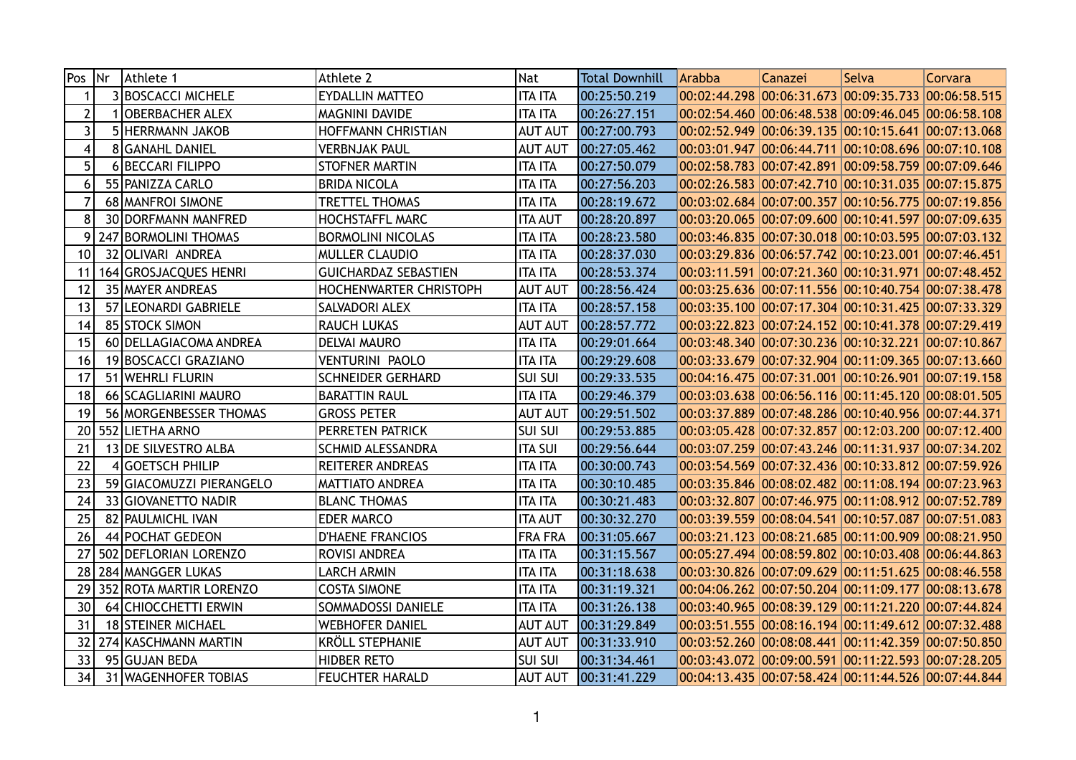| Pos | $\overline{\mathsf{N}}$ r | Athlete 1                 | Athlete 2                     | Nat            | Total Downhill | Arabba | Canazei | Selva                                               | Corvara |
|-----|---------------------------|---------------------------|-------------------------------|----------------|----------------|--------|---------|-----------------------------------------------------|---------|
|     |                           | <b>3 BOSCACCI MICHELE</b> | <b>EYDALLIN MATTEO</b>        | <b>ITA ITA</b> | 00:25:50.219   |        |         | 00:02:44.298 00:06:31.673 00:09:35.733 00:06:58.515 |         |
| 2   |                           | <b>OBERBACHER ALEX</b>    | MAGNINI DAVIDE                | <b>ITA ITA</b> | 00:26:27.151   |        |         | 00:02:54.460 00:06:48.538 00:09:46.045 00:06:58.108 |         |
| 3   |                           | 5 HERRMANN JAKOB          | <b>HOFFMANN CHRISTIAN</b>     | <b>AUT AUT</b> | 00:27:00.793   |        |         | 00:02:52.949 00:06:39.135 00:10:15.641 00:07:13.068 |         |
| 4   |                           | 8 GANAHL DANIEL           | <b>VERBNJAK PAUL</b>          | <b>AUT AUT</b> | 00:27:05.462   |        |         | 00:03:01.947 00:06:44.711 00:10:08.696 00:07:10.108 |         |
| 5   |                           | 6 BECCARI FILIPPO         | <b>STOFNER MARTIN</b>         | <b>ITA ITA</b> | 00:27:50.079   |        |         | 00:02:58.783 00:07:42.891 00:09:58.759 00:07:09.646 |         |
| 6   |                           | 55 PANIZZA CARLO          | <b>BRIDA NICOLA</b>           | <b>ITA ITA</b> | 00:27:56.203   |        |         | 00:02:26.583 00:07:42.710 00:10:31.035 00:07:15.875 |         |
| 7   |                           | 68 MANFROI SIMONE         | <b>TRETTEL THOMAS</b>         | <b>ITA ITA</b> | 00:28:19.672   |        |         | 00:03:02.684 00:07:00.357 00:10:56.775 00:07:19.856 |         |
| 8   |                           | 30 DORFMANN MANFRED       | <b>HOCHSTAFFL MARC</b>        | <b>ITA AUT</b> | 00:28:20.897   |        |         | 00:03:20.065 00:07:09.600 00:10:41.597 00:07:09.635 |         |
| 9   |                           | 247 BORMOLINI THOMAS      | <b>BORMOLINI NICOLAS</b>      | <b>ITA ITA</b> | 00:28:23.580   |        |         | 00:03:46.835 00:07:30.018 00:10:03.595 00:07:03.132 |         |
| 10  |                           | 32 OLIVARI ANDREA         | <b>MULLER CLAUDIO</b>         | <b>ITA ITA</b> | 00:28:37.030   |        |         | 00:03:29.836 00:06:57.742 00:10:23.001 00:07:46.451 |         |
| 11  |                           | 164 GROSJACQUES HENRI     | <b>GUICHARDAZ SEBASTIEN</b>   | <b>ITA ITA</b> | 00:28:53.374   |        |         | 00:03:11.591 00:07:21.360 00:10:31.971 00:07:48.452 |         |
| 12  |                           | 35 MAYER ANDREAS          | <b>HOCHENWARTER CHRISTOPH</b> | <b>AUT AUT</b> | 00:28:56.424   |        |         | 00:03:25.636 00:07:11.556 00:10:40.754 00:07:38.478 |         |
| 13  |                           | 57 LEONARDI GABRIELE      | SALVADORI ALEX                | <b>ITA ITA</b> | 00:28:57.158   |        |         | 00:03:35.100 00:07:17.304 00:10:31.425 00:07:33.329 |         |
| 14  |                           | 85 STOCK SIMON            | <b>RAUCH LUKAS</b>            | <b>AUT AUT</b> | 00:28:57.772   |        |         | 00:03:22.823 00:07:24.152 00:10:41.378 00:07:29.419 |         |
| 15  |                           | 60 DELLAGIACOMA ANDREA    | <b>DELVAI MAURO</b>           | <b>ITA ITA</b> | 00:29:01.664   |        |         | 00:03:48.340 00:07:30.236 00:10:32.221 00:07:10.867 |         |
| 16  |                           | 19 BOSCACCI GRAZIANO      | VENTURINI PAOLO               | <b>ITA ITA</b> | 00:29:29.608   |        |         | 00:03:33.679 00:07:32.904 00:11:09.365 00:07:13.660 |         |
| 17  |                           | 51 WEHRLI FLURIN          | <b>SCHNEIDER GERHARD</b>      | <b>SUI SUI</b> | 00:29:33.535   |        |         | 00:04:16.475 00:07:31.001 00:10:26.901 00:07:19.158 |         |
| 18  |                           | 66 SCAGLIARINI MAURO      | <b>BARATTIN RAUL</b>          | <b>ITA ITA</b> | 00:29:46.379   |        |         | 00:03:03.638 00:06:56.116 00:11:45.120 00:08:01.505 |         |
| 19  |                           | 56 MORGENBESSER THOMAS    | <b>GROSS PETER</b>            | <b>AUT AUT</b> | 00:29:51.502   |        |         | 00:03:37.889 00:07:48.286 00:10:40.956 00:07:44.371 |         |
| 20  |                           | 552 LIETHA ARNO           | PERRETEN PATRICK              | <b>SUI SUI</b> | 00:29:53.885   |        |         | 00:03:05.428 00:07:32.857 00:12:03.200 00:07:12.400 |         |
| 21  |                           | 13 DE SILVESTRO ALBA      | <b>SCHMID ALESSANDRA</b>      | <b>ITA SUI</b> | 00:29:56.644   |        |         | 00:03:07.259 00:07:43.246 00:11:31.937 00:07:34.202 |         |
| 22  |                           | 4 GOETSCH PHILIP          | <b>REITERER ANDREAS</b>       | <b>ITA ITA</b> | 00:30:00.743   |        |         | 00:03:54.569 00:07:32.436 00:10:33.812 00:07:59.926 |         |
| 23  |                           | 59 GIACOMUZZI PIERANGELO  | <b>MATTIATO ANDREA</b>        | <b>ITA ITA</b> | 00:30:10.485   |        |         | 00:03:35.846 00:08:02.482 00:11:08.194 00:07:23.963 |         |
| 24  |                           | 33 GIOVANETTO NADIR       | <b>BLANC THOMAS</b>           | <b>ITA ITA</b> | 00:30:21.483   |        |         | 00:03:32.807 00:07:46.975 00:11:08.912 00:07:52.789 |         |
| 25  |                           | 82   PAULMICHL IVAN       | <b>EDER MARCO</b>             | <b>ITA AUT</b> | 00:30:32.270   |        |         | 00:03:39.559 00:08:04.541 00:10:57.087 00:07:51.083 |         |
| 26  |                           | 44 POCHAT GEDEON          | <b>D'HAENE FRANCIOS</b>       | <b>FRA FRA</b> | 00:31:05.667   |        |         | 00:03:21.123 00:08:21.685 00:11:00.909 00:08:21.950 |         |
| 27  |                           | 502 DEFLORIAN LORENZO     | ROVISI ANDREA                 | <b>ITA ITA</b> | 00:31:15.567   |        |         | 00:05:27.494 00:08:59.802 00:10:03.408 00:06:44.863 |         |
| 28  |                           | 284 MANGGER LUKAS         | <b>LARCH ARMIN</b>            | <b>ITA ITA</b> | 00:31:18.638   |        |         | 00:03:30.826 00:07:09.629 00:11:51.625 00:08:46.558 |         |
| 29  |                           | 352 ROTA MARTIR LORENZO   | <b>COSTA SIMONE</b>           | <b>ITA ITA</b> | 00:31:19.321   |        |         | 00:04:06.262 00:07:50.204 00:11:09.177 00:08:13.678 |         |
| 30  |                           | 64 CHIOCCHETTI ERWIN      | SOMMADOSSI DANIELE            | <b>ITA ITA</b> | 00:31:26.138   |        |         | 00:03:40.965 00:08:39.129 00:11:21.220 00:07:44.824 |         |
| 31  |                           | 18 STEINER MICHAEL        | <b>WEBHOFER DANIEL</b>        | <b>AUT AUT</b> | 00:31:29.849   |        |         | 00:03:51.555 00:08:16.194 00:11:49.612 00:07:32.488 |         |
| 32  |                           | 274 KASCHMANN MARTIN      | <b>KRÖLL STEPHANIE</b>        | <b>AUT AUT</b> | 00:31:33.910   |        |         | 00:03:52.260 00:08:08.441 00:11:42.359 00:07:50.850 |         |
| 33  |                           | 95 GUJAN BEDA             | <b>HIDBER RETO</b>            | Sui Sui        | 00:31:34.461   |        |         | 00:03:43.072 00:09:00.591 00:11:22.593 00:07:28.205 |         |
| 34  |                           | 31 WAGENHOFER TOBIAS      | <b>FEUCHTER HARALD</b>        | <b>AUT AUT</b> | 00:31:41.229   |        |         | 00:04:13.435 00:07:58.424 00:11:44.526 00:07:44.844 |         |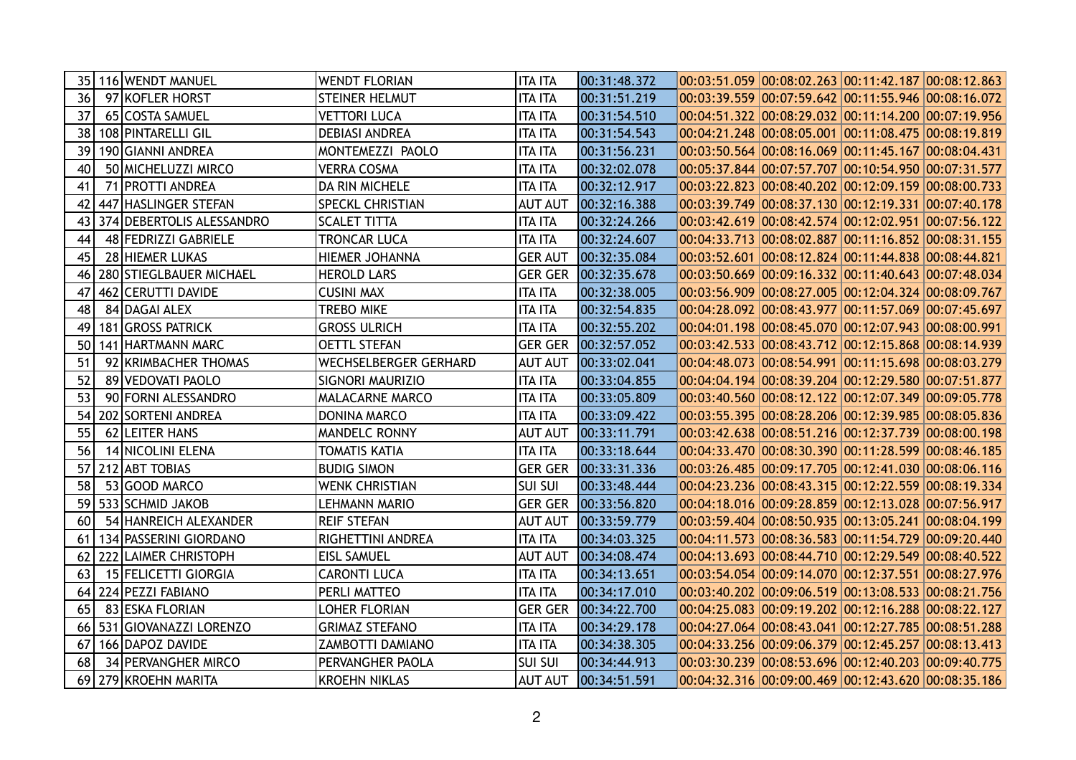|    | 35 116 WENDT MANUEL       | <b>WENDT FLORIAN</b>         | <b>ITA ITA</b> | 00:31:48.372 | $00:03:51.059$ $00:08:02.263$ $00:11:42.187$ $00:08:12.863$ |  |
|----|---------------------------|------------------------------|----------------|--------------|-------------------------------------------------------------|--|
| 36 | 97 KOFLER HORST           | <b>STEINER HELMUT</b>        | <b>ITA ITA</b> | 00:31:51.219 | 00:03:39.559 00:07:59.642 00:11:55.946 00:08:16.072         |  |
| 37 | 65 COSTA SAMUEL           | <b>VETTORI LUCA</b>          | <b>ITA ITA</b> | 00:31:54.510 | 00:04:51.322 00:08:29.032 00:11:14.200 00:07:19.956         |  |
| 38 | 108 PINTARELLI GIL        | <b>DEBIASI ANDREA</b>        | <b>ITA ITA</b> | 00:31:54.543 | 00:04:21.248 00:08:05.001 00:11:08.475 00:08:19.819         |  |
| 39 | 190 GIANNI ANDREA         | MONTEMEZZI PAOLO             | <b>ITA ITA</b> | 00:31:56.231 | 00:03:50.564 00:08:16.069 00:11:45.167 00:08:04.431         |  |
| 40 | 50 MICHELUZZI MIRCO       | <b>VERRA COSMA</b>           | <b>ITA ITA</b> | 00:32:02.078 | 00:05:37.844 00:07:57.707 00:10:54.950 00:07:31.577         |  |
| 41 | 71   PROTTI ANDREA        | <b>DA RIN MICHELE</b>        | <b>ITA ITA</b> | 00:32:12.917 | 00:03:22.823 00:08:40.202 00:12:09.159 00:08:00.733         |  |
| 42 | 447 HASLINGER STEFAN      | <b>SPECKL CHRISTIAN</b>      | <b>AUT AUT</b> | 00:32:16.388 | 00:03:39.749 00:08:37.130 00:12:19.331 00:07:40.178         |  |
| 43 | 374 DEBERTOLIS ALESSANDRO | <b>SCALET TITTA</b>          | <b>ITA ITA</b> | 00:32:24.266 | 00:03:42.619 00:08:42.574 00:12:02.951 00:07:56.122         |  |
| 44 | 48 FEDRIZZI GABRIELE      | TRONCAR LUCA                 | <b>ITA ITA</b> | 00:32:24.607 | 00:04:33.713 00:08:02.887 00:11:16.852 00:08:31.155         |  |
| 45 | 28 HIEMER LUKAS           | HIEMER JOHANNA               | <b>GER AUT</b> | 00:32:35.084 | 00:03:52.601 00:08:12.824 00:11:44.838 00:08:44.821         |  |
| 46 | 280 STIEGLBAUER MICHAEL   | <b>HEROLD LARS</b>           | <b>GER GER</b> | 00:32:35.678 | 00:03:50.669 00:09:16.332 00:11:40.643 00:07:48.034         |  |
| 47 | 462 CERUTTI DAVIDE        | <b>CUSINI MAX</b>            | <b>ITA ITA</b> | 00:32:38.005 | 00:03:56.909 00:08:27.005 00:12:04.324 00:08:09.767         |  |
| 48 | 84 DAGAI ALEX             | <b>TREBO MIKE</b>            | <b>ITA ITA</b> | 00:32:54.835 | 00:04:28.092 00:08:43.977 00:11:57.069 00:07:45.697         |  |
| 49 | 181 GROSS PATRICK         | <b>GROSS ULRICH</b>          | <b>ITA ITA</b> | 00:32:55.202 | 00:04:01.198 00:08:45.070 00:12:07.943 00:08:00.991         |  |
| 50 | 141 HARTMANN MARC         | <b>OETTL STEFAN</b>          | <b>GER GER</b> | 00:32:57.052 | 00:03:42.533 00:08:43.712 00:12:15.868 00:08:14.939         |  |
| 51 | 92 KRIMBACHER THOMAS      | <b>WECHSELBERGER GERHARD</b> | <b>AUT AUT</b> | 00:33:02.041 | 00:04:48.073 00:08:54.991 00:11:15.698 00:08:03.279         |  |
| 52 | 89 VEDOVATI PAOLO         | <b>SIGNORI MAURIZIO</b>      | <b>ITA ITA</b> | 00:33:04.855 | 00:04:04.194 00:08:39.204 00:12:29.580 00:07:51.877         |  |
| 53 | 90 FORNI ALESSANDRO       | <b>MALACARNE MARCO</b>       | <b>ITA ITA</b> | 00:33:05.809 | 00:03:40.560 00:08:12.122 00:12:07.349 00:09:05.778         |  |
| 54 | 202 SORTENI ANDREA        | <b>DONINA MARCO</b>          | <b>ITA ITA</b> | 00:33:09.422 | 00:03:55.395 00:08:28.206 00:12:39.985 00:08:05.836         |  |
| 55 | 62 LEITER HANS            | <b>MANDELC RONNY</b>         | <b>AUT AUT</b> | 00:33:11.791 | 00:03:42.638 00:08:51.216 00:12:37.739 00:08:00.198         |  |
| 56 | 14 NICOLINI ELENA         | TOMATIS KATIA                | <b>ITA ITA</b> | 00:33:18.644 | 00:04:33.470 00:08:30.390 00:11:28.599 00:08:46.185         |  |
|    | 57 212 ABT TOBIAS         | <b>BUDIG SIMON</b>           | <b>GER GER</b> | 00:33:31.336 | 00:03:26.485 00:09:17.705 00:12:41.030 00:08:06.116         |  |
| 58 | 53 GOOD MARCO             | <b>WENK CHRISTIAN</b>        | Sui sui        | 00:33:48.444 | 00:04:23.236 00:08:43.315 00:12:22.559 00:08:19.334         |  |
| 59 | 533 SCHMID JAKOB          | LEHMANN MARIO                | <b>GER GER</b> | 00:33:56.820 | 00:04:18.016 00:09:28.859 00:12:13.028 00:07:56.917         |  |
| 60 | 54 HANREICH ALEXANDER     | <b>REIF STEFAN</b>           | <b>AUT AUT</b> | 00:33:59.779 | 00:03:59.404 00:08:50.935 00:13:05.241 00:08:04.199         |  |
| 61 | 134 PASSERINI GIORDANO    | <b>RIGHETTINI ANDREA</b>     | <b>ITA ITA</b> | 00:34:03.325 | 00:04:11.573 00:08:36.583 00:11:54.729 00:09:20.440         |  |
| 62 | 222 LAIMER CHRISTOPH      | <b>EISL SAMUEL</b>           | <b>AUT AUT</b> | 00:34:08.474 | 00:04:13.693 00:08:44.710 00:12:29.549 00:08:40.522         |  |
| 63 | 15 FELICETTI GIORGIA      | <b>CARONTI LUCA</b>          | <b>ITA ITA</b> | 00:34:13.651 | 00:03:54.054 00:09:14.070 00:12:37.551 00:08:27.976         |  |
|    | 64 224 PEZZI FABIANO      | PERLI MATTEO                 | <b>ITA ITA</b> | 00:34:17.010 | 00:03:40.202 00:09:06.519 00:13:08.533 00:08:21.756         |  |
| 65 | 83 ESKA FLORIAN           | LOHER FLORIAN                | Ger Ger        | 00:34:22.700 | 00:04:25.083 00:09:19.202 00:12:16.288 00:08:22.127         |  |
| 66 | 531 GIOVANAZZI LORENZO    | <b>GRIMAZ STEFANO</b>        | <b>ITA ITA</b> | 00:34:29.178 | 00:04:27.064 00:08:43.041 00:12:27.785 00:08:51.288         |  |
| 67 | 166 DAPOZ DAVIDE          | ZAMBOTTI DAMIANO             | <b>ITA ITA</b> | 00:34:38.305 | 00:04:33.256 00:09:06.379 00:12:45.257 00:08:13.413         |  |
| 68 | 34 PERVANGHER MIRCO       | PERVANGHER PAOLA             | sui sui        | 00:34:44.913 | 00:03:30.239 00:08:53.696 00:12:40.203 00:09:40.775         |  |
|    | 69 279 KROEHN MARITA      | <b>KROEHN NIKLAS</b>         | AUT AUT        | 00:34:51.591 | 00:04:32.316 00:09:00.469 00:12:43.620 00:08:35.186         |  |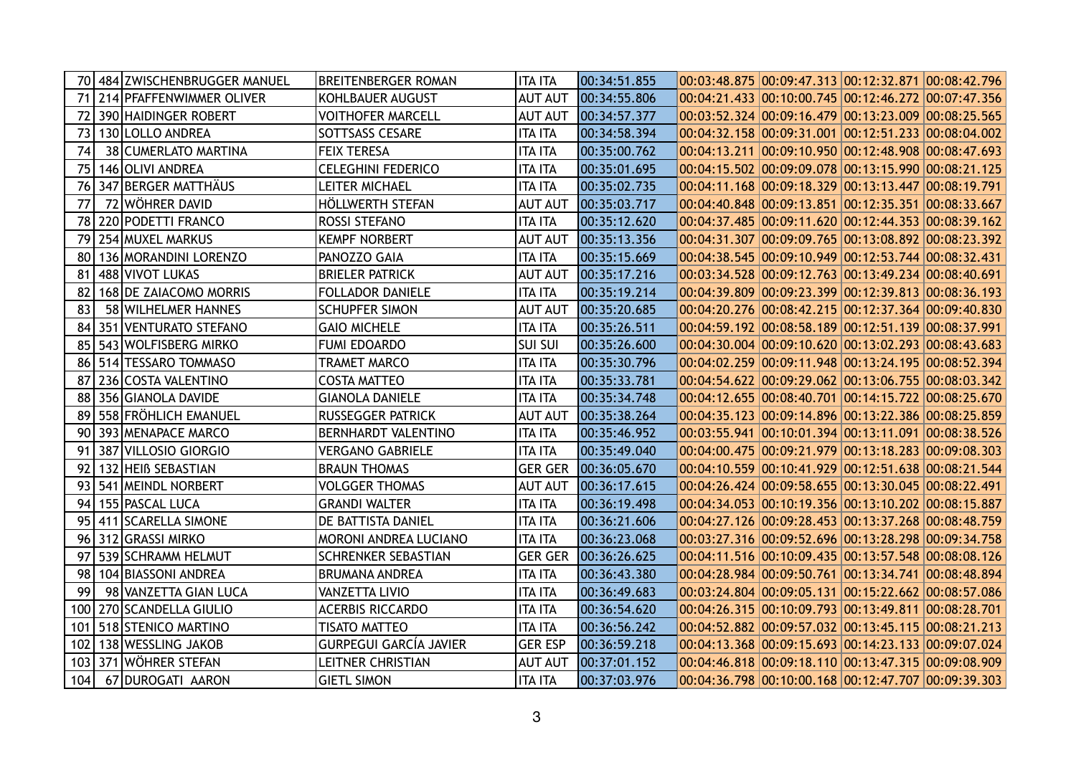|                 | 70 484 ZWISCHENBRUGGER MANUEL | BREITENBERGER ROMAN           | <b>ITA ITA</b> | 00:34:51.855 |  | 00:03:48.875 00:09:47.313 00:12:32.871 00:08:42.796         |  |
|-----------------|-------------------------------|-------------------------------|----------------|--------------|--|-------------------------------------------------------------|--|
| 71              | 214 PFAFFENWIMMER OLIVER      | <b>KOHLBAUER AUGUST</b>       | <b>AUT AUT</b> | 00:34:55.806 |  | 00:04:21.433 00:10:00.745 00:12:46.272 00:07:47.356         |  |
| 72              | 390 HAIDINGER ROBERT          | <b>VOITHOFER MARCELL</b>      | <b>AUT AUT</b> | 00:34:57.377 |  | 00:03:52.324 00:09:16.479 00:13:23.009 00:08:25.565         |  |
| 73              | 130 LOLLO ANDREA              | <b>SOTTSASS CESARE</b>        | <b>ITA ITA</b> | 00:34:58.394 |  | 00:04:32.158 00:09:31.001 00:12:51.233 00:08:04.002         |  |
| 74              | 38 CUMERLATO MARTINA          | <b>FEIX TERESA</b>            | <b>ITA ITA</b> | 00:35:00.762 |  | 00:04:13.211 00:09:10.950 00:12:48.908 00:08:47.693         |  |
| 75              | 146 OLIVI ANDREA              | <b>CELEGHINI FEDERICO</b>     | <b>ITA ITA</b> | 00:35:01.695 |  | 00:04:15.502 00:09:09.078 00:13:15.990 00:08:21.125         |  |
| 76              | 347 BERGER MATTHAUS           | <b>LEITER MICHAEL</b>         | <b>ITA ITA</b> | 00:35:02.735 |  | 00:04:11.168 00:09:18.329 00:13:13.447 00:08:19.791         |  |
| 77              | 72 WÖHRER DAVID               | HÖLLWERTH STEFAN              | <b>AUT AUT</b> | 00:35:03.717 |  | 00:04:40.848 00:09:13.851 00:12:35.351 00:08:33.667         |  |
| 78              | 220 PODETTI FRANCO            | <b>ROSSI STEFANO</b>          | <b>ITA ITA</b> | 00:35:12.620 |  | 00:04:37.485 00:09:11.620 00:12:44.353 00:08:39.162         |  |
| 79              | 254 MUXEL MARKUS              | <b>KEMPF NORBERT</b>          | <b>AUT AUT</b> | 00:35:13.356 |  | 00:04:31.307 00:09:09.765 00:13:08.892 00:08:23.392         |  |
| 80 <sub>1</sub> | 136 MORANDINI LORENZO         | <b>PANOZZO GAIA</b>           | <b>ITA ITA</b> | 00:35:15.669 |  | 00:04:38.545 00:09:10.949 00:12:53.744 00:08:32.431         |  |
| 81              | 488 VIVOT LUKAS               | <b>BRIELER PATRICK</b>        | <b>AUT AUT</b> | 00:35:17.216 |  | 00:03:34.528 00:09:12.763 00:13:49.234 00:08:40.691         |  |
| 82              | 168 DE ZAIACOMO MORRIS        | <b>FOLLADOR DANIELE</b>       | <b>ITA ITA</b> | 00:35:19.214 |  | 00:04:39.809 00:09:23.399 00:12:39.813 00:08:36.193         |  |
| 83              | 58 WILHELMER HANNES           | <b>SCHUPFER SIMON</b>         | <b>AUT AUT</b> | 00:35:20.685 |  | 00:04:20.276 00:08:42.215 00:12:37.364 00:09:40.830         |  |
|                 | 84 351 VENTURATO STEFANO      | <b>GAIO MICHELE</b>           | <b>ITA ITA</b> | 00:35:26.511 |  | 00:04:59.192 00:08:58.189 00:12:51.139 00:08:37.991         |  |
|                 | 85 543 WOLFISBERG MIRKO       | <b>FUMI EDOARDO</b>           | sui sui        | 00:35:26.600 |  | $00:04:30.004$ $00:09:10.620$ $00:13:02.293$ $00:08:43.683$ |  |
|                 | 86 514 TESSARO TOMMASO        | TRAMET MARCO                  | <b>ITA ITA</b> | 00:35:30.796 |  | 00:04:02.259 00:09:11.948 00:13:24.195 00:08:52.394         |  |
|                 | 87 236 COSTA VALENTINO        | <b>COSTA MATTEO</b>           | <b>ITA ITA</b> | 00:35:33.781 |  | 00:04:54.622 00:09:29.062 00:13:06.755 00:08:03.342         |  |
|                 | 88 356 GIANOLA DAVIDE         | <b>GIANOLA DANIELE</b>        | <b>ITA ITA</b> | 00:35:34.748 |  | 00:04:12.655 00:08:40.701 00:14:15.722 00:08:25.670         |  |
|                 | 89 558 FRÖHLICH EMANUEL       | <b>RUSSEGGER PATRICK</b>      | <b>AUT AUT</b> | 00:35:38.264 |  | 00:04:35.123 00:09:14.896 00:13:22.386 00:08:25.859         |  |
| 90 <sub>1</sub> | 393 MENAPACE MARCO            | BERNHARDT VALENTINO           | <b>ITA ITA</b> | 00:35:46.952 |  | 00:03:55.941 00:10:01.394 00:13:11.091 00:08:38.526         |  |
| 91              | 387 VILLOSIO GIORGIO          | <b>VERGANO GABRIELE</b>       | <b>ITA ITA</b> | 00:35:49.040 |  | 00:04:00.475 00:09:21.979 00:13:18.283 00:09:08.303         |  |
| 92              | 132 HEIB SEBASTIAN            | <b>BRAUN THOMAS</b>           | Ger Ger        | 00:36:05.670 |  | 00:04:10.559 00:10:41.929 00:12:51.638 00:08:21.544         |  |
|                 | 93 541 MEINDL NORBERT         | <b>VOLGGER THOMAS</b>         | <b>AUT AUT</b> | 00:36:17.615 |  | 00:04:26.424 00:09:58.655 00:13:30.045 00:08:22.491         |  |
| 94              | 155 PASCAL LUCA               | <b>GRANDI WALTER</b>          | <b>ITA ITA</b> | 00:36:19.498 |  | 00:04:34.053 00:10:19.356 00:13:10.202 00:08:15.887         |  |
| 95              | 411 SCARELLA SIMONE           | <b>DE BATTISTA DANIEL</b>     | <b>ITA ITA</b> | 00:36:21.606 |  | 00:04:27.126 00:09:28.453 00:13:37.268 00:08:48.759         |  |
|                 | 96 312 GRASSI MIRKO           | <b>MORONI ANDREA LUCIANO</b>  | <b>ITA ITA</b> | 00:36:23.068 |  | 00:03:27.316 00:09:52.696 00:13:28.298 00:09:34.758         |  |
|                 | 97 539 SCHRAMM HELMUT         | <b>SCHRENKER SEBASTIAN</b>    | GER GER        | 00:36:26.625 |  | 00:04:11.516 00:10:09.435 00:13:57.548 00:08:08.126         |  |
| 98              | 104 BIASSONI ANDREA           | <b>BRUMANA ANDREA</b>         | <b>ITA ITA</b> | 00:36:43.380 |  | 00:04:28.984 00:09:50.761 00:13:34.741 00:08:48.894         |  |
| 99              | 98 VANZETTA GIAN LUCA         | <b>VANZETTA LIVIO</b>         | <b>ITA ITA</b> | 00:36:49.683 |  | 00:03:24.804 00:09:05.131 00:15:22.662 00:08:57.086         |  |
|                 | 100 270 SCANDELLA GIULIO      | <b>ACERBIS RICCARDO</b>       | <b>ITA ITA</b> | 00:36:54.620 |  | $00:04:26.315$ $00:10:09.793$ $00:13:49.811$ $00:08:28.701$ |  |
|                 | 101   518   STENICO MARTINO   | <b>TISATO MATTEO</b>          | ITA ITA        | 00:36:56.242 |  | 00:04:52.882 00:09:57.032 00:13:45.115 00:08:21.213         |  |
|                 | 102 138 WESSLING JAKOB        | <b>GURPEGUI GARCÍA JAVIER</b> | Ger ESP        | 00:36:59.218 |  | 00:04:13.368 00:09:15.693 00:14:23.133 00:09:07.024         |  |
|                 | 103   371   WÖHRER STEFAN     | <b>LEITNER CHRISTIAN</b>      | <b>AUT AUT</b> | 00:37:01.152 |  | 00:04:46.818 00:09:18.110 00:13:47.315 00:09:08.909         |  |
| 104             | 67 DUROGATI AARON             | <b>GIETL SIMON</b>            | <b>ITA ITA</b> | 00:37:03.976 |  | $00:04:36.798$ 00:10:00.168 00:12:47.707 00:09:39.303       |  |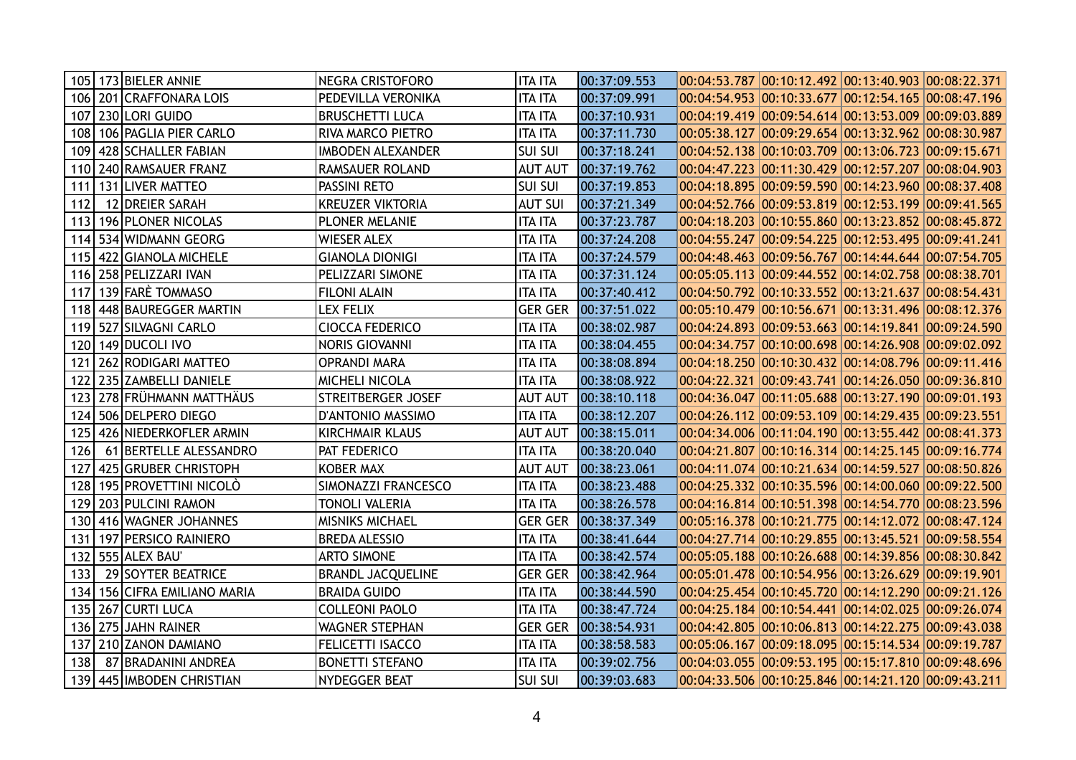|     | 105   173   BIELER ANNIE      | <b>NEGRA CRISTOFORO</b>   | <b>ITA ITA</b> | 00:37:09.553 | 00:04:53.787 00:10:12.492 00:13:40.903 00:08:22.371         |  |
|-----|-------------------------------|---------------------------|----------------|--------------|-------------------------------------------------------------|--|
|     | 106   201   CRAFFONARA LOIS   | PEDEVILLA VERONIKA        | <b>ITA ITA</b> | 00:37:09.991 | 00:04:54.953 00:10:33.677 00:12:54.165 00:08:47.196         |  |
|     | 107 230 LORI GUIDO            | <b>BRUSCHETTI LUCA</b>    | <b>ITA ITA</b> | 00:37:10.931 | $ 00:04:19.419 00:09:54.614 00:13:53.009 00:09:03.889$      |  |
| 108 | 106 PAGLIA PIER CARLO         | <b>RIVA MARCO PIETRO</b>  | <b>ITA ITA</b> | 00:37:11.730 | 00:05:38.127 00:09:29.654 00:13:32.962 00:08:30.987         |  |
| 109 | 428 SCHALLER FABIAN           | <b>IMBODEN ALEXANDER</b>  | <b>SUI SUI</b> | 00:37:18.241 | 00:04:52.138 00:10:03.709 00:13:06.723 00:09:15.671         |  |
|     | 110 240 RAMSAUER FRANZ        | <b>RAMSAUER ROLAND</b>    | <b>AUT AUT</b> | 00:37:19.762 | $ 00:04:47.223 00:11:30.429 00:12:57.207 00:08:04.903$      |  |
|     | 111   131   LIVER MATTEO      | <b>PASSINI RETO</b>       | <b>SUI SUI</b> | 00:37:19.853 | 00:04:18.895 00:09:59.590 00:14:23.960 00:08:37.408         |  |
| 112 | 12 DREIER SARAH               | <b>KREUZER VIKTORIA</b>   | <b>AUT SUI</b> | 00:37:21.349 | 00:04:52.766 00:09:53.819 00:12:53.199 00:09:41.565         |  |
| 113 | 196 PLONER NICOLAS            | <b>PLONER MELANIE</b>     | <b>ITA ITA</b> | 00:37:23.787 | 00:04:18.203 00:10:55.860 00:13:23.852 00:08:45.872         |  |
| 114 | 534 WIDMANN GEORG             | <b>WIESER ALEX</b>        | <b>ITA ITA</b> | 00:37:24.208 | $ 00:04:55.247 00:09:54.225 00:12:53.495 00:09:41.241$      |  |
|     | 115 422 GIANOLA MICHELE       | <b>GIANOLA DIONIGI</b>    | <b>ITA ITA</b> | 00:37:24.579 | 00:04:48.463 00:09:56.767 00:14:44.644 00:07:54.705         |  |
|     | 116 258 PELIZZARI IVAN        | <b>PELIZZARI SIMONE</b>   | <b>ITA ITA</b> | 00:37:31.124 | 00:05:05.113 00:09:44.552 00:14:02.758 00:08:38.701         |  |
| 117 | 139 FARE TOMMASO              | <b>FILONI ALAIN</b>       | <b>ITA ITA</b> | 00:37:40.412 | 00:04:50.792 00:10:33.552 00:13:21.637 00:08:54.431         |  |
|     | 118 448 BAUREGGER MARTIN      | <b>LEX FELIX</b>          | <b>GER GER</b> | 00:37:51.022 | 00:05:10.479 00:10:56.671 00:13:31.496 00:08:12.376         |  |
|     | 119 527 SILVAGNI CARLO        | <b>CIOCCA FEDERICO</b>    | <b>ITA ITA</b> | 00:38:02.987 | 00:04:24.893 00:09:53.663 00:14:19.841 00:09:24.590         |  |
|     | 120 149 DUCOLI IVO            | <b>NORIS GIOVANNI</b>     | <b>ITA ITA</b> | 00:38:04.455 | 00:04:34.757 00:10:00.698 00:14:26.908 00:09:02.092         |  |
|     | 121   262   RODIGARI MATTEO   | <b>OPRANDI MARA</b>       | <b>ITA ITA</b> | 00:38:08.894 | 00:04:18.250 00:10:30.432 00:14:08.796 00:09:11.416         |  |
|     | 122 235 ZAMBELLI DANIELE      | <b>MICHELI NICOLA</b>     | <b>ITA ITA</b> | 00:38:08.922 | 00:04:22.321 00:09:43.741 00:14:26.050 00:09:36.810         |  |
|     | 123   278   FRÜHMANN MATTHÄUS | <b>STREITBERGER JOSEF</b> | <b>AUT AUT</b> | 00:38:10.118 | 00:04:36.047 00:11:05.688 00:13:27.190 00:09:01.193         |  |
| 124 | 506 DELPERO DIEGO             | <b>D'ANTONIO MASSIMO</b>  | <b>ITA ITA</b> | 00:38:12.207 | $00:04:26.112$ $00:09:53.109$ $00:14:29.435$ $00:09:23.551$ |  |
| 125 | 426 NIEDERKOFLER ARMIN        | <b>KIRCHMAIR KLAUS</b>    | <b>AUT AUT</b> | 00:38:15.011 | $ 00:04:34.006 00:11:04.190 00:13:55.442 00:08:41.373$      |  |
| 126 | 61 BERTELLE ALESSANDRO        | <b>PAT FEDERICO</b>       | <b>ITA ITA</b> | 00:38:20.040 | 00:04:21.807 00:10:16.314 00:14:25.145 00:09:16.774         |  |
| 127 | 425 GRUBER CHRISTOPH          | <b>KOBER MAX</b>          | <b>AUT AUT</b> | 00:38:23.061 | 00:04:11.074 00:10:21.634 00:14:59.527 00:08:50.826         |  |
| 128 | 195 PROVETTINI NICOLÒ         | SIMONAZZI FRANCESCO       | <b>ITA ITA</b> | 00:38:23.488 | 00:04:25.332 00:10:35.596 00:14:00.060 00:09:22.500         |  |
|     | 129 203 PULCINI RAMON         | <b>TONOLI VALERIA</b>     | <b>ITA ITA</b> | 00:38:26.578 | 00:04:16.814 00:10:51.398 00:14:54.770 00:08:23.596         |  |
|     | 130   416   WAGNER JOHANNES   | <b>MISNIKS MICHAEL</b>    | <b>GER GER</b> | 00:38:37.349 | 00:05:16.378 00:10:21.775 00:14:12.072 00:08:47.124         |  |
| 131 | 197 PERSICO RAINIERO          | <b>BREDA ALESSIO</b>      | <b>ITA ITA</b> | 00:38:41.644 | 00:04:27.714 00:10:29.855 00:13:45.521 00:09:58.554         |  |
| 132 | 555 ALEX BAU                  | <b>ARTO SIMONE</b>        | <b>ITA ITA</b> | 00:38:42.574 | 00:05:05.188 00:10:26.688 00:14:39.856 00:08:30.842         |  |
| 133 | 29 SOYTER BEATRICE            | <b>BRANDL JACQUELINE</b>  | <b>GER GER</b> | 00:38:42.964 | 00:05:01.478 00:10:54.956 00:13:26.629 00:09:19.901         |  |
|     | 134 156 CIFRA EMILIANO MARIA  | <b>BRAIDA GUIDO</b>       | <b>ITA ITA</b> | 00:38:44.590 | 00:04:25.454 00:10:45.720 00:14:12.290 00:09:21.126         |  |
|     | 135 267 CURTI LUCA            | <b>COLLEONI PAOLO</b>     | <b>ITA ITA</b> | 00:38:47.724 | 00:04:25.184 00:10:54.441 00:14:02.025 00:09:26.074         |  |
|     | 136 275 JAHN RAINER           | <b>WAGNER STEPHAN</b>     | <b>GER GER</b> | 00:38:54.931 | 00:04:42.805 00:10:06.813 00:14:22.275 00:09:43.038         |  |
|     | 137 210 ZANON DAMIANO         | <b>FELICETTI ISACCO</b>   | <b>ITA ITA</b> | 00:38:58.583 | 00:05:06.167 00:09:18.095 00:15:14.534 00:09:19.787         |  |
| 138 | 87 BRADANINI ANDREA           | <b>BONETTI STEFANO</b>    | <b>ITA ITA</b> | 00:39:02.756 | 00:04:03.055 00:09:53.195 00:15:17.810 00:09:48.696         |  |
|     | 139 445 IMBODEN CHRISTIAN     | NYDEGGER BEAT             | <b>SUI SUI</b> | 00:39:03.683 | 00:04:33.506 00:10:25.846 00:14:21.120 00:09:43.211         |  |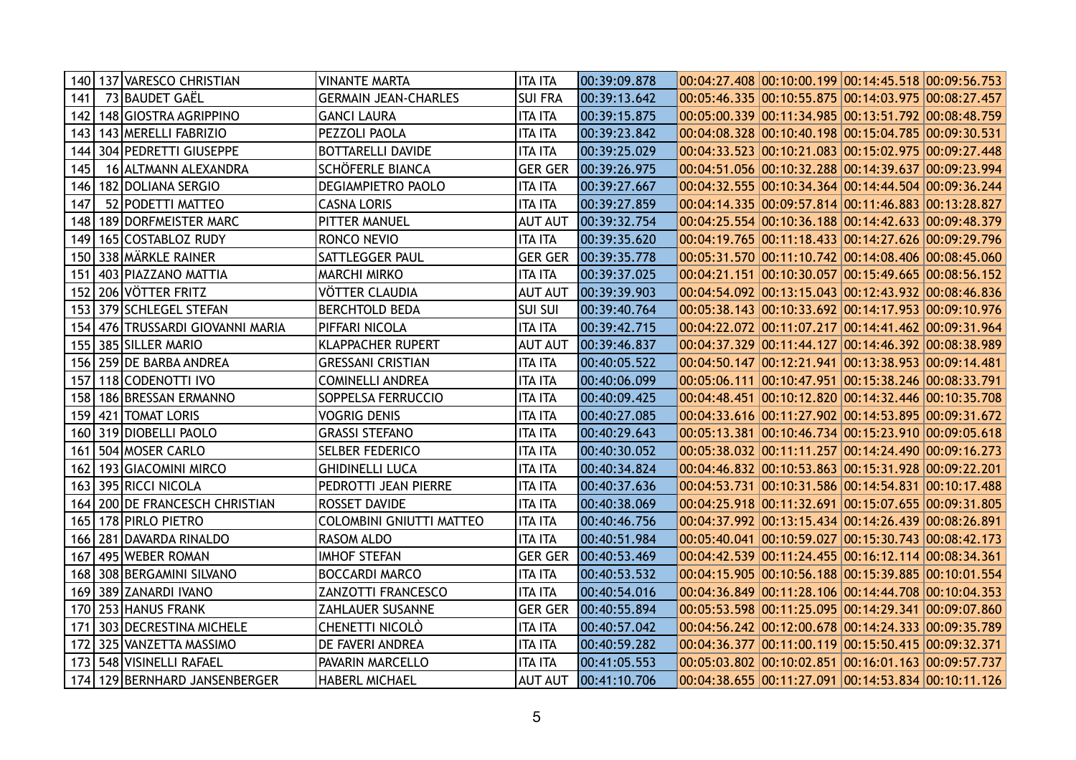|     | 140 137 VARESCO CHRISTIAN      | <b>VINANTE MARTA</b>            | <b>ITA ITA</b> | 00:39:09.878 | 00:04:27.408 00:10:00.199 00:14:45.518 00:09:56.753 |  |  |
|-----|--------------------------------|---------------------------------|----------------|--------------|-----------------------------------------------------|--|--|
| 141 | 73 BAUDET GAËL                 | <b>GERMAIN JEAN-CHARLES</b>     | <b>SUI FRA</b> | 00:39:13.642 | 00:05:46.335 00:10:55.875 00:14:03.975 00:08:27.457 |  |  |
| 142 | 148 GIOSTRA AGRIPPINO          | <b>GANCI LAURA</b>              | <b>ITA ITA</b> | 00:39:15.875 | 00:05:00.339 00:11:34.985 00:13:51.792 00:08:48.759 |  |  |
| 143 | 143 MERELLI FABRIZIO           | <b>PEZZOLI PAOLA</b>            | <b>ITA ITA</b> | 00:39:23.842 | 00:04:08.328 00:10:40.198 00:15:04.785 00:09:30.531 |  |  |
| 144 | 304 PEDRETTI GIUSEPPE          | <b>BOTTARELLI DAVIDE</b>        | <b>ITA ITA</b> | 00:39:25.029 | 00:04:33.523 00:10:21.083 00:15:02.975 00:09:27.448 |  |  |
| 145 | 16 ALTMANN ALEXANDRA           | SCHÖFERLE BIANCA                | <b>GER GER</b> | 00:39:26.975 | 00:04:51.056 00:10:32.288 00:14:39.637 00:09:23.994 |  |  |
| 146 | 182 DOLIANA SERGIO             | <b>DEGIAMPIETRO PAOLO</b>       | <b>ITA ITA</b> | 00:39:27.667 | 00:04:32.555 00:10:34.364 00:14:44.504 00:09:36.244 |  |  |
| 147 | 52 PODETTI MATTEO              | <b>CASNA LORIS</b>              | <b>ITA ITA</b> | 00:39:27.859 | 00:04:14.335 00:09:57.814 00:11:46.883 00:13:28.827 |  |  |
| 148 | 189 DORFMEISTER MARC           | <b>PITTER MANUEL</b>            | <b>AUT AUT</b> | 00:39:32.754 | 00:04:25.554 00:10:36.188 00:14:42.633 00:09:48.379 |  |  |
| 149 | 165 COSTABLOZ RUDY             | RONCO NEVIO                     | <b>ITA ITA</b> | 00:39:35.620 | 00:04:19.765 00:11:18.433 00:14:27.626 00:09:29.796 |  |  |
|     | 150 338 MÄRKLE RAINER          | SATTLEGGER PAUL                 | <b>GER GER</b> | 00:39:35.778 | 00:05:31.570 00:11:10.742 00:14:08.406 00:08:45.060 |  |  |
|     | 151   403   PIAZZANO MATTIA    | <b>MARCHI MIRKO</b>             | <b>ITA ITA</b> | 00:39:37.025 | 00:04:21.151 00:10:30.057 00:15:49.665 00:08:56.152 |  |  |
|     | 152 206 VÖTTER FRITZ           | VÖTTER CLAUDIA                  | <b>AUT AUT</b> | 00:39:39.903 | 00:04:54.092 00:13:15.043 00:12:43.932 00:08:46.836 |  |  |
| 153 | 379 SCHLEGEL STEFAN            | <b>BERCHTOLD BEDA</b>           | <b>SUI SUI</b> | 00:39:40.764 | 00:05:38.143 00:10:33.692 00:14:17.953 00:09:10.976 |  |  |
| 154 | 476 TRUSSARDI GIOVANNI MARIA   | <b>PIFFARI NICOLA</b>           | <b>ITA ITA</b> | 00:39:42.715 | 00:04:22.072 00:11:07.217 00:14:41.462 00:09:31.964 |  |  |
| 155 | 385 SILLER MARIO               | KLAPPACHER RUPERT               | <b>AUT AUT</b> | 00:39:46.837 | 00:04:37.329 00:11:44.127 00:14:46.392 00:08:38.989 |  |  |
|     | 156 259 DE BARBA ANDREA        | <b>GRESSANI CRISTIAN</b>        | <b>ITA ITA</b> | 00:40:05.522 | 00:04:50.147 00:12:21.941 00:13:38.953 00:09:14.481 |  |  |
| 157 | 118 CODENOTTI IVO              | <b>COMINELLI ANDREA</b>         | <b>ITA ITA</b> | 00:40:06.099 | 00:05:06.111 00:10:47.951 00:15:38.246 00:08:33.791 |  |  |
| 158 | 186 BRESSAN ERMANNO            | SOPPELSA FERRUCCIO              | <b>ITA ITA</b> | 00:40:09.425 | 00:04:48.451 00:10:12.820 00:14:32.446 00:10:35.708 |  |  |
|     | 159   421   TOMAT LORIS        | <b>VOGRIG DENIS</b>             | <b>ITA ITA</b> | 00:40:27.085 | 00:04:33.616 00:11:27.902 00:14:53.895 00:09:31.672 |  |  |
|     | 160 319 DIOBELLI PAOLO         | <b>GRASSI STEFANO</b>           | <b>ITA ITA</b> | 00:40:29.643 | 00:05:13.381 00:10:46.734 00:15:23.910 00:09:05.618 |  |  |
| 161 | 504 MOSER CARLO                | <b>SELBER FEDERICO</b>          | <b>ITA ITA</b> | 00:40:30.052 | 00:05:38.032 00:11:11.257 00:14:24.490 00:09:16.273 |  |  |
| 162 | 193 GIACOMINI MIRCO            | <b>GHIDINELLI LUCA</b>          | <b>ITA ITA</b> | 00:40:34.824 | 00:04:46.832 00:10:53.863 00:15:31.928 00:09:22.201 |  |  |
| 163 | 395 RICCI NICOLA               | PEDROTTI JEAN PIERRE            | <b>ITA ITA</b> | 00:40:37.636 | 00:04:53.731 00:10:31.586 00:14:54.831 00:10:17.488 |  |  |
| 164 | 200 DE FRANCESCH CHRISTIAN     | <b>ROSSET DAVIDE</b>            | <b>ITA ITA</b> | 00:40:38.069 | 00:04:25.918 00:11:32.691 00:15:07.655 00:09:31.805 |  |  |
| 165 | 178 PIRLO PIETRO               | <b>COLOMBINI GNIUTTI MATTEO</b> | <b>ITA ITA</b> | 00:40:46.756 | 00:04:37.992 00:13:15.434 00:14:26.439 00:08:26.891 |  |  |
|     | 166   281   DAVARDA RINALDO    | <b>RASOM ALDO</b>               | <b>ITA ITA</b> | 00:40:51.984 | 00:05:40.041 00:10:59.027 00:15:30.743 00:08:42.173 |  |  |
|     | 167 495 WEBER ROMAN            | <b>IMHOF STEFAN</b>             | <b>GER GER</b> | 00:40:53.469 | 00:04:42.539 00:11:24.455 00:16:12.114 00:08:34.361 |  |  |
|     | 168 308 BERGAMINI SILVANO      | <b>BOCCARDI MARCO</b>           | <b>ITA ITA</b> | 00:40:53.532 | 00:04:15.905 00:10:56.188 00:15:39.885 00:10:01.554 |  |  |
|     | 169 389 ZANARDI IVANO          | <b>ZANZOTTI FRANCESCO</b>       | <b>ITA ITA</b> | 00:40:54.016 | 00:04:36.849 00:11:28.106 00:14:44.708 00:10:04.353 |  |  |
|     | 170 253 HANUS FRANK            | <b>ZAHLAUER SUSANNE</b>         | GER GER        | 00:40:55.894 | 00:05:53.598 00:11:25.095 00:14:29.341 00:09:07.860 |  |  |
|     | 171   303   DECRESTINA MICHELE | <b>CHENETTI NICOLÒ</b>          | <b>ITA ITA</b> | 00:40:57.042 | 00:04:56.242 00:12:00.678 00:14:24.333 00:09:35.789 |  |  |
|     | 172   325   VANZETTA MASSIMO   | DE FAVERI ANDREA                | <b>ITA ITA</b> | 00:40:59.282 | 00:04:36.377 00:11:00.119 00:15:50.415 00:09:32.371 |  |  |
|     | 173   548   VISINELLI RAFAEL   | <b>PAVARIN MARCELLO</b>         | <b>ITA ITA</b> | 00:41:05.553 | 00:05:03.802 00:10:02.851 00:16:01.163 00:09:57.737 |  |  |
|     | 174 129 BERNHARD JANSENBERGER  | <b>HABERL MICHAEL</b>           | <b>AUT AUT</b> | 00:41:10.706 | 00:04:38.655 00:11:27.091 00:14:53.834 00:10:11.126 |  |  |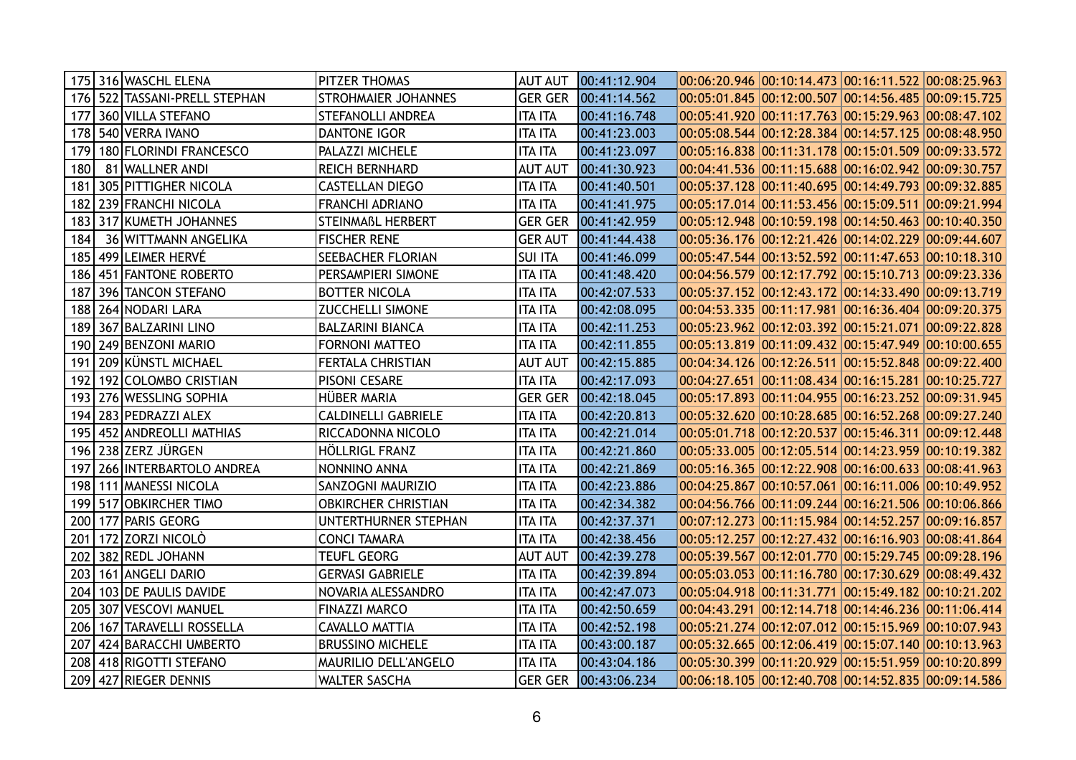|     | 175 316 WASCHL ELENA              | <b>PITZER THOMAS</b>       | <b>AUT AUT</b> | 00:41:12.904 | 00:06:20.946 00:10:14.473 00:16:11.522 00:08:25.963 |  |  |
|-----|-----------------------------------|----------------------------|----------------|--------------|-----------------------------------------------------|--|--|
|     | 176   522   TASSANI-PRELL STEPHAN | <b>STROHMAIER JOHANNES</b> | <b>GER GER</b> | 00:41:14.562 | 00:05:01.845 00:12:00.507 00:14:56.485 00:09:15.725 |  |  |
| 177 | 360 VILLA STEFANO                 | <b>STEFANOLLI ANDREA</b>   | <b>ITA ITA</b> | 00:41:16.748 | 00:05:41.920 00:11:17.763 00:15:29.963 00:08:47.102 |  |  |
|     | 178 540 VERRA IVANO               | <b>DANTONE IGOR</b>        | <b>ITA ITA</b> | 00:41:23.003 | 00:05:08.544 00:12:28.384 00:14:57.125 00:08:48.950 |  |  |
| 179 | 180 FLORINDI FRANCESCO            | <b>PALAZZI MICHELE</b>     | <b>ITA ITA</b> | 00:41:23.097 | 00:05:16.838 00:11:31.178 00:15:01.509 00:09:33.572 |  |  |
| 180 | 81 WALLNER ANDI                   | <b>REICH BERNHARD</b>      | <b>AUT AUT</b> | 00:41:30.923 | 00:04:41.536 00:11:15.688 00:16:02.942 00:09:30.757 |  |  |
| 181 | 305 PITTIGHER NICOLA              | <b>CASTELLAN DIEGO</b>     | <b>ITA ITA</b> | 00:41:40.501 | 00:05:37.128 00:11:40.695 00:14:49.793 00:09:32.885 |  |  |
|     | 182   239   FRANCHI NICOLA        | <b>FRANCHI ADRIANO</b>     | <b>ITA ITA</b> | 00:41:41.975 | 00:05:17.014 00:11:53.456 00:15:09.511 00:09:21.994 |  |  |
|     | 183 317 KUMETH JOHANNES           | <b>STEINMAßL HERBERT</b>   | <b>GER GER</b> | 00:41:42.959 | 00:05:12.948 00:10:59.198 00:14:50.463 00:10:40.350 |  |  |
| 184 | 36 WITTMANN ANGELIKA              | <b>FISCHER RENE</b>        | <b>GER AUT</b> | 00:41:44.438 | 00:05:36.176 00:12:21.426 00:14:02.229 00:09:44.607 |  |  |
| 185 | 499 LEIMER HERVÉ                  | <b>SEEBACHER FLORIAN</b>   | <b>SUI ITA</b> | 00:41:46.099 | 00:05:47.544 00:13:52.592 00:11:47.653 00:10:18.310 |  |  |
| 186 | 451 FANTONE ROBERTO               | PERSAMPIERI SIMONE         | <b>ITA ITA</b> | 00:41:48.420 | 00:04:56.579 00:12:17.792 00:15:10.713 00:09:23.336 |  |  |
|     | 187   396   TANCON STEFANO        | <b>BOTTER NICOLA</b>       | <b>ITA ITA</b> | 00:42:07.533 | 00:05:37.152 00:12:43.172 00:14:33.490 00:09:13.719 |  |  |
|     | 188   264   NODARI LARA           | <b>ZUCCHELLI SIMONE</b>    | <b>ITA ITA</b> | 00:42:08.095 | 00:04:53.335 00:11:17.981 00:16:36.404 00:09:20.375 |  |  |
| 189 | 367 BALZARINI LINO                | BALZARINI BIANCA           | <b>ITA ITA</b> | 00:42:11.253 | 00:05:23.962 00:12:03.392 00:15:21.071 00:09:22.828 |  |  |
|     | 190 249 BENZONI MARIO             | <b>FORNONI MATTEO</b>      | <b>ITA ITA</b> | 00:42:11.855 | 00:05:13.819 00:11:09.432 00:15:47.949 00:10:00.655 |  |  |
|     | 191   209 KÜNSTL MICHAEL          | <b>FERTALA CHRISTIAN</b>   | <b>AUT AUT</b> | 00:42:15.885 | 00:04:34.126 00:12:26.511 00:15:52.848 00:09:22.400 |  |  |
| 192 | 192 COLOMBO CRISTIAN              | <b>PISONI CESARE</b>       | <b>ITA ITA</b> | 00:42:17.093 | 00:04:27.651 00:11:08.434 00:16:15.281 00:10:25.727 |  |  |
|     | 193 276 WESSLING SOPHIA           | HÜBER MARIA                | <b>GER GER</b> | 00:42:18.045 | 00:05:17.893 00:11:04.955 00:16:23.252 00:09:31.945 |  |  |
|     | 194   283   PEDRAZZI ALEX         | <b>CALDINELLI GABRIELE</b> | <b>ITA ITA</b> | 00:42:20.813 | 00:05:32.620 00:10:28.685 00:16:52.268 00:09:27.240 |  |  |
| 195 | 452 ANDREOLLI MATHIAS             | RICCADONNA NICOLO          | <b>ITA ITA</b> | 00:42:21.014 | 00:05:01.718 00:12:20.537 00:15:46.311 00:09:12.448 |  |  |
|     | 196   238   ZERZ JÜRGEN           | HÖLLRIGL FRANZ             | <b>ITA ITA</b> | 00:42:21.860 | 00:05:33.005 00:12:05.514 00:14:23.959 00:10:19.382 |  |  |
|     | 197 266 INTERBARTOLO ANDREA       | NONNINO ANNA               | <b>ITA ITA</b> | 00:42:21.869 | 00:05:16.365 00:12:22.908 00:16:00.633 00:08:41.963 |  |  |
| 198 | 111 MANESSI NICOLA                | SANZOGNI MAURIZIO          | <b>ITA ITA</b> | 00:42:23.886 | 00:04:25.867 00:10:57.061 00:16:11.006 00:10:49.952 |  |  |
| 199 | 517 OBKIRCHER TIMO                | <b>OBKIRCHER CHRISTIAN</b> | <b>ITA ITA</b> | 00:42:34.382 | 00:04:56.766 00:11:09.244 00:16:21.506 00:10:06.866 |  |  |
| 200 | 177 PARIS GEORG                   | UNTERTHURNER STEPHAN       | <b>ITA ITA</b> | 00:42:37.371 | 00:07:12.273 00:11:15.984 00:14:52.257 00:09:16.857 |  |  |
| 201 | 172 ZORZI NICOLO                  | CONCI TAMARA               | <b>ITA ITA</b> | 00:42:38.456 | 00:05:12.257 00:12:27.432 00:16:16.903 00:08:41.864 |  |  |
| 202 | 382 REDL JOHANN                   | <b>TEUFL GEORG</b>         | <b>AUT AUT</b> | 00:42:39.278 | 00:05:39.567 00:12:01.770 00:15:29.745 00:09:28.196 |  |  |
|     | 203 161 ANGELI DARIO              | <b>GERVASI GABRIELE</b>    | <b>ITA ITA</b> | 00:42:39.894 | 00:05:03.053 00:11:16.780 00:17:30.629 00:08:49.432 |  |  |
|     | 204 103 DE PAULIS DAVIDE          | NOVARIA ALESSANDRO         | <b>ITA ITA</b> | 00:42:47.073 | 00:05:04.918 00:11:31.771 00:15:49.182 00:10:21.202 |  |  |
|     | 205 307 VESCOVI MANUEL            | <b>FINAZZI MARCO</b>       | <b>ITA ITA</b> | 00:42:50.659 | 00:04:43.291 00:12:14.718 00:14:46.236 00:11:06.414 |  |  |
|     | 206   167   TARAVELLI ROSSELLA    | <b>CAVALLO MATTIA</b>      | <b>ITA ITA</b> | 00:42:52.198 | 00:05:21.274 00:12:07.012 00:15:15.969 00:10:07.943 |  |  |
|     | 207 424 BARACCHI UMBERTO          | <b>BRUSSINO MICHELE</b>    | <b>ITA ITA</b> | 00:43:00.187 | 00:05:32.665 00:12:06.419 00:15:07.140 00:10:13.963 |  |  |
|     | 208 418 RIGOTTI STEFANO           | MAURILIO DELL'ANGELO       | <b>ITA ITA</b> | 00:43:04.186 | 00:05:30.399 00:11:20.929 00:15:51.959 00:10:20.899 |  |  |
|     | 209 427 RIEGER DENNIS             | <b>WALTER SASCHA</b>       | <b>GER GER</b> | 00:43:06.234 | 00:06:18.105 00:12:40.708 00:14:52.835 00:09:14.586 |  |  |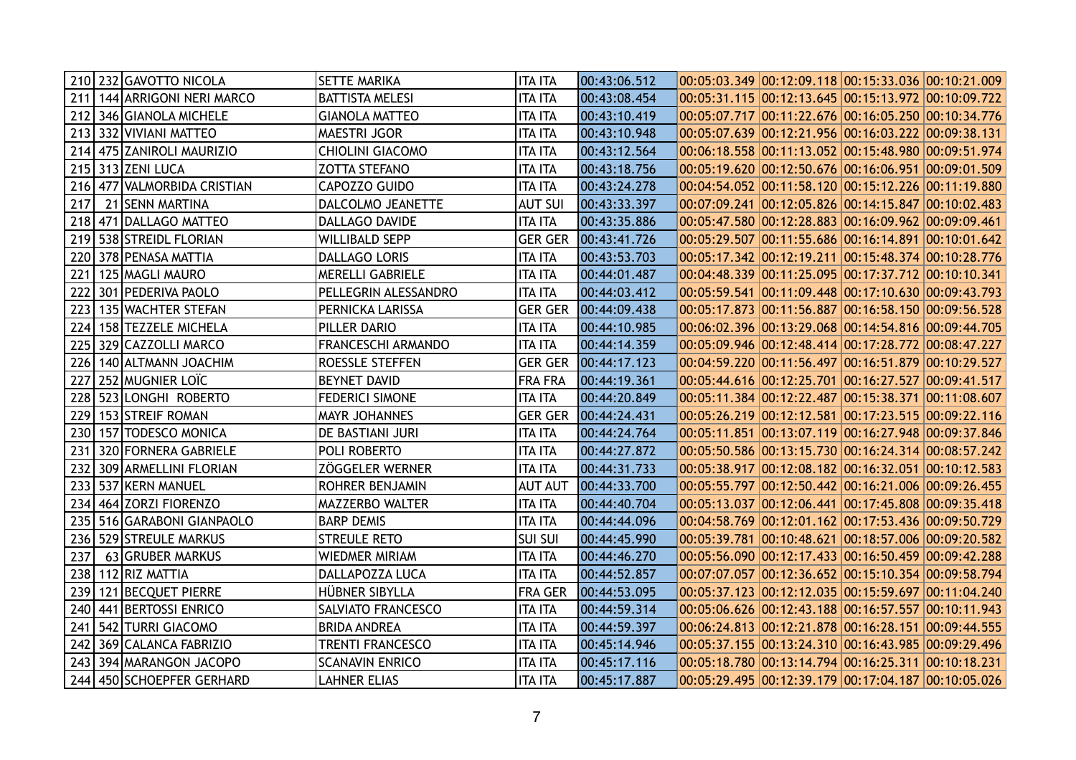|     | 210 232 GAVOTTO NICOLA          | <b>SETTE MARIKA</b>         | <b>ITA ITA</b> | 00:43:06.512 | 00:05:03.349 00:12:09.118 00:15:33.036 00:10:21.009 |  |
|-----|---------------------------------|-----------------------------|----------------|--------------|-----------------------------------------------------|--|
|     | 211   144   ARRIGONI NERI MARCO | <b>BATTISTA MELESI</b>      | <b>ITA ITA</b> | 00:43:08.454 | 00:05:31.115 00:12:13.645 00:15:13.972 00:10:09.722 |  |
|     | 212 346 GIANOLA MICHELE         | <b>GIANOLA MATTEO</b>       | <b>ITA ITA</b> | 00:43:10.419 | 00:05:07.717 00:11:22.676 00:16:05.250 00:10:34.776 |  |
|     | 213 332 VIVIANI MATTEO          | <b>MAESTRI JGOR</b>         | <b>ITA ITA</b> | 00:43:10.948 | 00:05:07.639 00:12:21.956 00:16:03.222 00:09:38.131 |  |
|     | 214 475 ZANIROLI MAURIZIO       | <b>CHIOLINI GIACOMO</b>     | <b>ITA ITA</b> | 00:43:12.564 | 00:06:18.558 00:11:13.052 00:15:48.980 00:09:51.974 |  |
|     | 215 313 ZENI LUCA               | <b>ZOTTA STEFANO</b>        | <b>ITA ITA</b> | 00:43:18.756 | 00:05:19.620 00:12:50.676 00:16:06.951 00:09:01.509 |  |
|     | 216 477 VALMORBIDA CRISTIAN     | <b>CAPOZZO GUIDO</b>        | <b>ITA ITA</b> | 00:43:24.278 | 00:04:54.052 00:11:58.120 00:15:12.226 00:11:19.880 |  |
| 217 | 21 SENN MARTINA                 | <b>DALCOLMO JEANETTE</b>    | <b>AUT SUI</b> | 00:43:33.397 | 00:07:09.241 00:12:05.826 00:14:15.847 00:10:02.483 |  |
|     | 218 471 DALLAGO MATTEO          | DALLAGO DAVIDE              | <b>ITA ITA</b> | 00:43:35.886 | 00:05:47.580 00:12:28.883 00:16:09.962 00:09:09.461 |  |
|     | 219 538 STREIDL FLORIAN         | <b>WILLIBALD SEPP</b>       | <b>GER GER</b> | 00:43:41.726 | 00:05:29.507 00:11:55.686 00:16:14.891 00:10:01.642 |  |
|     | 220 378 PENASA MATTIA           | <b>DALLAGO LORIS</b>        | <b>ITA ITA</b> | 00:43:53.703 | 00:05:17.342 00:12:19.211 00:15:48.374 00:10:28.776 |  |
|     | 221   125   MAGLI MAURO         | <b>MERELLI GABRIELE</b>     | <b>ITA ITA</b> | 00:44:01.487 | 00:04:48.339 00:11:25.095 00:17:37.712 00:10:10.341 |  |
| 222 | 301 PEDERIVA PAOLO              | <b>PELLEGRIN ALESSANDRO</b> | <b>ITA ITA</b> | 00:44:03.412 | 00:05:59.541 00:11:09.448 00:17:10.630 00:09:43.793 |  |
|     | 223 135 WACHTER STEFAN          | PERNICKA LARISSA            | <b>GER GER</b> | 00:44:09.438 | 00:05:17.873 00:11:56.887 00:16:58.150 00:09:56.528 |  |
| 224 | 158 TEZZELE MICHELA             | <b>PILLER DARIO</b>         | <b>ITA ITA</b> | 00:44:10.985 | 00:06:02.396 00:13:29.068 00:14:54.816 00:09:44.705 |  |
| 225 | 329 CAZZOLLI MARCO              | <b>FRANCESCHI ARMANDO</b>   | <b>ITA ITA</b> | 00:44:14.359 | 00:05:09.946 00:12:48.414 00:17:28.772 00:08:47.227 |  |
| 226 | 140 ALTMANN JOACHIM             | <b>ROESSLE STEFFEN</b>      | <b>GER GER</b> | 00:44:17.123 | 00:04:59.220 00:11:56.497 00:16:51.879 00:10:29.527 |  |
| 227 | 252 MUGNIER LOÏC                | <b>BEYNET DAVID</b>         | <b>FRA FRA</b> | 00:44:19.361 | 00:05:44.616 00:12:25.701 00:16:27.527 00:09:41.517 |  |
|     | 228 523 LONGHI ROBERTO          | <b>FEDERICI SIMONE</b>      | <b>ITA ITA</b> | 00:44:20.849 | 00:05:11.384 00:12:22.487 00:15:38.371 00:11:08.607 |  |
|     | 229 153 STREIF ROMAN            | <b>MAYR JOHANNES</b>        | <b>GER GER</b> | 00:44:24.431 | 00:05:26.219 00:12:12.581 00:17:23.515 00:09:22.116 |  |
|     | 230 157 TODESCO MONICA          | DE BASTIANI JURI            | <b>ITA ITA</b> | 00:44:24.764 | 00:05:11.851 00:13:07.119 00:16:27.948 00:09:37.846 |  |
|     | 231 320 FORNERA GABRIELE        | <b>POLI ROBERTO</b>         | <b>ITA ITA</b> | 00:44:27.872 | 00:05:50.586 00:13:15.730 00:16:24.314 00:08:57.242 |  |
| 232 | 309 ARMELLINI FLORIAN           | <b>ZÖGGELER WERNER</b>      | <b>ITA ITA</b> | 00:44:31.733 | 00:05:38.917 00:12:08.182 00:16:32.051 00:10:12.583 |  |
|     | 233 537 KERN MANUEL             | <b>ROHRER BENJAMIN</b>      | <b>AUT AUT</b> | 00:44:33.700 | 00:05:55.797 00:12:50.442 00:16:21.006 00:09:26.455 |  |
|     | 234 464 ZORZI FIORENZO          | <b>MAZZERBO WALTER</b>      | <b>ITA ITA</b> | 00:44:40.704 | 00:05:13.037 00:12:06.441 00:17:45.808 00:09:35.418 |  |
|     | 235 516 GARABONI GIANPAOLO      | <b>BARP DEMIS</b>           | <b>ITA ITA</b> | 00:44:44.096 | 00:04:58.769 00:12:01.162 00:17:53.436 00:09:50.729 |  |
|     | 236   529   STREULE MARKUS      | <b>STREULE RETO</b>         | <b>SUI SUI</b> | 00:44:45.990 | 00:05:39.781 00:10:48.621 00:18:57.006 00:09:20.582 |  |
| 237 | 63 GRUBER MARKUS                | <b>WIEDMER MIRIAM</b>       | <b>ITA ITA</b> | 00:44:46.270 | 00:05:56.090 00:12:17.433 00:16:50.459 00:09:42.288 |  |
|     | 238 112 RIZ MATTIA              | <b>DALLAPOZZA LUCA</b>      | <b>ITA ITA</b> | 00:44:52.857 | 00:07:07.057 00:12:36.652 00:15:10.354 00:09:58.794 |  |
|     | 239 121 BECQUET PIERRE          | <b>HÜBNER SIBYLLA</b>       | <b>FRA GER</b> | 00:44:53.095 | 00:05:37.123 00:12:12.035 00:15:59.697 00:11:04.240 |  |
|     | 240 441 BERTOSSI ENRICO         | <b>SALVIATO FRANCESCO</b>   | <b>ITA ITA</b> | 00:44:59.314 | 00:05:06.626 00:12:43.188 00:16:57.557 00:10:11.943 |  |
|     | 241 542 TURRI GIACOMO           | <b>BRIDA ANDREA</b>         | <b>ITA ITA</b> | 00:44:59.397 | 00:06:24.813 00:12:21.878 00:16:28.151 00:09:44.555 |  |
|     | 242 369 CALANCA FABRIZIO        | <b>TRENTI FRANCESCO</b>     | ITA ITA        | 00:45:14.946 | 00:05:37.155 00:13:24.310 00:16:43.985 00:09:29.496 |  |
|     | 243 394 MARANGON JACOPO         | <b>SCANAVIN ENRICO</b>      | <b>ITA ITA</b> | 00:45:17.116 | 00:05:18.780 00:13:14.794 00:16:25.311 00:10:18.231 |  |
|     | 244 450 SCHOEPFER GERHARD       | <b>LAHNER ELIAS</b>         | <b>ITA ITA</b> | 00:45:17.887 | 00:05:29.495 00:12:39.179 00:17:04.187 00:10:05.026 |  |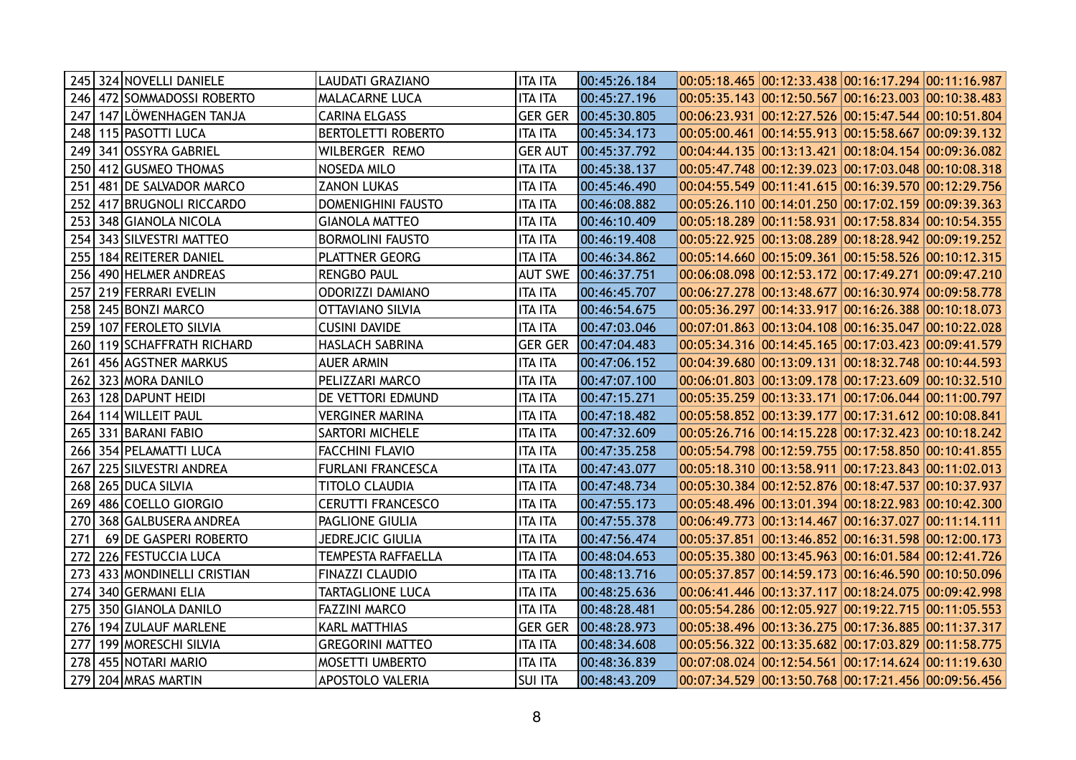|     | 245 324 NOVELLI DANIELE         | <b>LAUDATI GRAZIANO</b>   | ITA ITA        | 00:45:26.184 | $ 00:05:18.465 00:12:33.438 00:16:17.294 00:11:16.987$ |  |
|-----|---------------------------------|---------------------------|----------------|--------------|--------------------------------------------------------|--|
|     | 246   472   SOMMADOSSI ROBERTO  | <b>MALACARNE LUCA</b>     | <b>ITA ITA</b> | 00:45:27.196 | 00:05:35.143 00:12:50.567 00:16:23.003 00:10:38.483    |  |
|     | 247   147 LÖWENHAGEN TANJA      | <b>CARINA ELGASS</b>      | <b>GER GER</b> | 00:45:30.805 | 00:06:23.931 00:12:27.526 00:15:47.544 00:10:51.804    |  |
|     | 248   115   PASOTTI LUCA        | <b>BERTOLETTI ROBERTO</b> | <b>ITA ITA</b> | 00:45:34.173 | 00:05:00.461 00:14:55.913 00:15:58.667 00:09:39.132    |  |
|     | 249 341 OSSYRA GABRIEL          | <b>WILBERGER REMO</b>     | GER AUT        | 00:45:37.792 | 00:04:44.135 00:13:13.421 00:18:04.154 00:09:36.082    |  |
|     | 250 412 GUSMEO THOMAS           | <b>NOSEDA MILO</b>        | <b>ITA ITA</b> | 00:45:38.137 | 00:05:47.748 00:12:39.023 00:17:03.048 00:10:08.318    |  |
| 251 | 481 DE SALVADOR MARCO           | <b>ZANON LUKAS</b>        | <b>ITA ITA</b> | 00:45:46.490 | 00:04:55.549 00:11:41.615 00:16:39.570 00:12:29.756    |  |
| 252 | 417 BRUGNOLI RICCARDO           | <b>DOMENIGHINI FAUSTO</b> | <b>ITA ITA</b> | 00:46:08.882 | 00:05:26.110 00:14:01.250 00:17:02.159 00:09:39.363    |  |
|     | 253   348   GIANOLA NICOLA      | <b>GIANOLA MATTEO</b>     | <b>ITA ITA</b> | 00:46:10.409 | 00:05:18.289 00:11:58.931 00:17:58.834 00:10:54.355    |  |
|     | 254 343 SILVESTRI MATTEO        | <b>BORMOLINI FAUSTO</b>   | <b>ITA ITA</b> | 00:46:19.408 | 00:05:22.925 00:13:08.289 00:18:28.942 00:09:19.252    |  |
|     | 255   184   REITERER DANIEL     | <b>PLATTNER GEORG</b>     | ITA ITA        | 00:46:34.862 | 00:05:14.660 00:15:09.361 00:15:58.526 00:10:12.315    |  |
|     | 256   490   HELMER ANDREAS      | <b>RENGBO PAUL</b>        | <b>AUT SWE</b> | 00:46:37.751 | 00:06:08.098 00:12:53.172 00:17:49.271 00:09:47.210    |  |
|     | 257   219   FERRARI EVELIN      | <b>ODORIZZI DAMIANO</b>   | <b>ITA ITA</b> | 00:46:45.707 | 00:06:27.278 00:13:48.677 00:16:30.974 00:09:58.778    |  |
|     | 258 245 BONZI MARCO             | <b>OTTAVIANO SILVIA</b>   | <b>ITA ITA</b> | 00:46:54.675 | 00:05:36.297 00:14:33.917 00:16:26.388 00:10:18.073    |  |
|     | 259   107   FEROLETO SILVIA     | <b>CUSINI DAVIDE</b>      | <b>ITA ITA</b> | 00:47:03.046 | 00:07:01.863 00:13:04.108 00:16:35.047 00:10:22.028    |  |
|     | 260 119 SCHAFFRATH RICHARD      | <b>HASLACH SABRINA</b>    | <b>GER GER</b> | 00:47:04.483 | 00:05:34.316 00:14:45.165 00:17:03.423 00:09:41.579    |  |
| 261 | 456 AGSTNER MARKUS              | <b>AUER ARMIN</b>         | <b>ITA ITA</b> | 00:47:06.152 | 00:04:39.680 00:13:09.131 00:18:32.748 00:10:44.593    |  |
|     | 262 323 MORA DANILO             | PELIZZARI MARCO           | <b>ITA ITA</b> | 00:47:07.100 | 00:06:01.803 00:13:09.178 00:17:23.609 00:10:32.510    |  |
|     | 263   128   DAPUNT HEIDI        | DE VETTORI EDMUND         | <b>ITA ITA</b> | 00:47:15.271 | 00:05:35.259 00:13:33.171 00:17:06.044 00:11:00.797    |  |
|     | 264 114 WILLEIT PAUL            | <b>VERGINER MARINA</b>    | <b>ITA ITA</b> | 00:47:18.482 | 00:05:58.852 00:13:39.177 00:17:31.612 00:10:08.841    |  |
|     | 265   331   BARANI FABIO        | <b>SARTORI MICHELE</b>    | <b>ITA ITA</b> | 00:47:32.609 | 00:05:26.716 00:14:15.228 00:17:32.423 00:10:18.242    |  |
|     | 266 354 PELAMATTI LUCA          | <b>FACCHINI FLAVIO</b>    | <b>ITA ITA</b> | 00:47:35.258 | 00:05:54.798 00:12:59.755 00:17:58.850 00:10:41.855    |  |
|     | 267 225 SILVESTRI ANDREA        | <b>FURLANI FRANCESCA</b>  | <b>ITA ITA</b> | 00:47:43.077 | 00:05:18.310 00:13:58.911 00:17:23.843 00:11:02.013    |  |
|     | 268 265 DUCA SILVIA             | <b>TITOLO CLAUDIA</b>     | <b>ITA ITA</b> | 00:47:48.734 | 00:05:30.384 00:12:52.876 00:18:47.537 00:10:37.937    |  |
|     | 269 486 COELLO GIORGIO          | <b>CERUTTI FRANCESCO</b>  | <b>ITA ITA</b> | 00:47:55.173 | 00:05:48.496 00:13:01.394 00:18:22.983 00:10:42.300    |  |
|     | 270 368 GALBUSERA ANDREA        | <b>PAGLIONE GIULIA</b>    | <b>ITA ITA</b> | 00:47:55.378 | 00:06:49.773 00:13:14.467 00:16:37.027 00:11:14.111    |  |
| 271 | 69 DE GASPERI ROBERTO           | JEDREJCIC GIULIA          | <b>ITA ITA</b> | 00:47:56.474 | 00:05:37.851 00:13:46.852 00:16:31.598 00:12:00.173    |  |
| 272 | 226 FESTUCCIA LUCA              | <b>TEMPESTA RAFFAELLA</b> | <b>ITA ITA</b> | 00:48:04.653 | 00:05:35.380 00:13:45.963 00:16:01.584 00:12:41.726    |  |
|     | 273   433   MONDINELLI CRISTIAN | <b>FINAZZI CLAUDIO</b>    | ITA ITA        | 00:48:13.716 | 00:05:37.857 00:14:59.173 00:16:46.590 00:10:50.096    |  |
|     | 274 340 GERMANI ELIA            | <b>TARTAGLIONE LUCA</b>   | <b>ITA ITA</b> | 00:48:25.636 | 00:06:41.446 00:13:37.117 00:18:24.075 00:09:42.998    |  |
|     | 275 350 GIANOLA DANILO          | <b>FAZZINI MARCO</b>      | <b>ITA ITA</b> | 00:48:28.481 | 00:05:54.286 00:12:05.927 00:19:22.715 00:11:05.553    |  |
|     | 276 194 ZULAUF MARLENE          | <b>KARL MATTHIAS</b>      | <b>GER GER</b> | 00:48:28.973 | 00:05:38.496 00:13:36.275 00:17:36.885 00:11:37.317    |  |
|     | 277 199 MORESCHI SILVIA         | <b>GREGORINI MATTEO</b>   | <b>ITA ITA</b> | 00:48:34.608 | 00:05:56.322 00:13:35.682 00:17:03.829 00:11:58.775    |  |
|     | 278   455   NOTARI MARIO        | <b>MOSETTI UMBERTO</b>    | ITA ITA        | 00:48:36.839 | 00:07:08.024 00:12:54.561 00:17:14.624 00:11:19.630    |  |
|     | 279 204 MRAS MARTIN             | <b>APOSTOLO VALERIA</b>   | <b>SUI ITA</b> | 00:48:43.209 | 00:07:34.529 00:13:50.768 00:17:21.456 00:09:56.456    |  |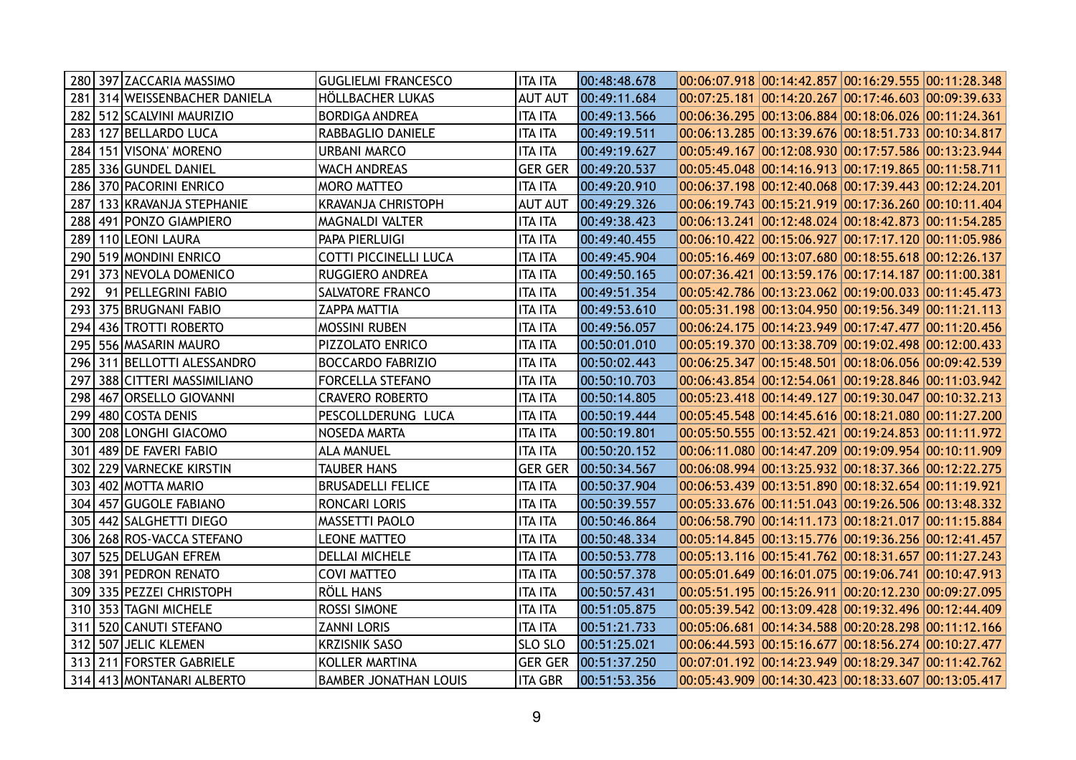|     | 280 397 ZACCARIA MASSIMO         | <b>GUGLIELMI FRANCESCO</b>   | <b>ITA ITA</b> | 00:48:48.678 | 00:06:07.918 00:14:42.857 00:16:29.555 00:11:28.348 |  |
|-----|----------------------------------|------------------------------|----------------|--------------|-----------------------------------------------------|--|
|     | 281 314 WEISSENBACHER DANIELA    | HÖLLBACHER LUKAS             | <b>AUT AUT</b> | 00:49:11.684 | 00:07:25.181 00:14:20.267 00:17:46.603 00:09:39.633 |  |
|     | 282   512   SCALVINI MAURIZIO    | <b>BORDIGA ANDREA</b>        | ITA ITA        | 00:49:13.566 | 00:06:36.295 00:13:06.884 00:18:06.026 00:11:24.361 |  |
|     | 283 127 BELLARDO LUCA            | RABBAGLIO DANIELE            | <b>ITA ITA</b> | 00:49:19.511 | 00:06:13.285 00:13:39.676 00:18:51.733 00:10:34.817 |  |
|     | 284 151 VISONA' MORENO           | <b>URBANI MARCO</b>          | ITA ITA        | 00:49:19.627 | 00:05:49.167 00:12:08.930 00:17:57.586 00:13:23.944 |  |
|     | 285 336 GUNDEL DANIEL            | <b>WACH ANDREAS</b>          | <b>GER GER</b> | 00:49:20.537 | 00:05:45.048 00:14:16.913 00:17:19.865 00:11:58.711 |  |
|     | 286 370 PACORINI ENRICO          | <b>MORO MATTEO</b>           | <b>ITA ITA</b> | 00:49:20.910 | 00:06:37.198 00:12:40.068 00:17:39.443 00:12:24.201 |  |
| 287 | 133 KRAVANJA STEPHANIE           | <b>KRAVANJA CHRISTOPH</b>    | <b>AUT AUT</b> | 00:49:29.326 | 00:06:19.743 00:15:21.919 00:17:36.260 00:10:11.404 |  |
|     | 288 491 PONZO GIAMPIERO          | <b>MAGNALDI VALTER</b>       | <b>ITA ITA</b> | 00:49:38.423 | 00:06:13.241 00:12:48.024 00:18:42.873 00:11:54.285 |  |
|     | 289 110 LEONI LAURA              | <b>PAPA PIERLUIGI</b>        | <b>ITA ITA</b> | 00:49:40.455 | 00:06:10.422 00:15:06.927 00:17:17.120 00:11:05.986 |  |
|     | 290 519 MONDINI ENRICO           | <b>COTTI PICCINELLI LUCA</b> | <b>ITA ITA</b> | 00:49:45.904 | 00:05:16.469 00:13:07.680 00:18:55.618 00:12:26.137 |  |
|     | 291 373 NEVOLA DOMENICO          | <b>RUGGIERO ANDREA</b>       | <b>ITA ITA</b> | 00:49:50.165 | 00:07:36.421 00:13:59.176 00:17:14.187 00:11:00.381 |  |
| 292 | 91 PELLEGRINI FABIO              | <b>SALVATORE FRANCO</b>      | <b>ITA ITA</b> | 00:49:51.354 | 00:05:42.786 00:13:23.062 00:19:00.033 00:11:45.473 |  |
|     | 293 375 BRUGNANI FABIO           | <b>ZAPPA MATTIA</b>          | <b>ITA ITA</b> | 00:49:53.610 | 00:05:31.198 00:13:04.950 00:19:56.349 00:11:21.113 |  |
| 294 | 436 TROTTI ROBERTO               | <b>MOSSINI RUBEN</b>         | <b>ITA ITA</b> | 00:49:56.057 | 00:06:24.175 00:14:23.949 00:17:47.477 00:11:20.456 |  |
|     | 295   556   MASARIN MAURO        | <b>PIZZOLATO ENRICO</b>      | <b>ITA ITA</b> | 00:50:01.010 | 00:05:19.370 00:13:38.709 00:19:02.498 00:12:00.433 |  |
|     | 296 311 BELLOTTI ALESSANDRO      | <b>BOCCARDO FABRIZIO</b>     | <b>ITA ITA</b> | 00:50:02.443 | 00:06:25.347 00:15:48.501 00:18:06.056 00:09:42.539 |  |
|     | 297   388   CITTERI MASSIMILIANO | <b>FORCELLA STEFANO</b>      | <b>ITA ITA</b> | 00:50:10.703 | 00:06:43.854 00:12:54.061 00:19:28.846 00:11:03.942 |  |
| 298 | 467 ORSELLO GIOVANNI             | <b>CRAVERO ROBERTO</b>       | <b>ITA ITA</b> | 00:50:14.805 | 00:05:23.418 00:14:49.127 00:19:30.047 00:10:32.213 |  |
| 299 | 480 COSTA DENIS                  | PESCOLLDERUNG LUCA           | <b>ITA ITA</b> | 00:50:19.444 | 00:05:45.548 00:14:45.616 00:18:21.080 00:11:27.200 |  |
|     | 300   208   LONGHI GIACOMO       | <b>NOSEDA MARTA</b>          | <b>ITA ITA</b> | 00:50:19.801 | 00:05:50.555 00:13:52.421 00:19:24.853 00:11:11.972 |  |
| 301 | 489 DE FAVERI FABIO              | <b>ALA MANUEL</b>            | <b>ITA ITA</b> | 00:50:20.152 | 00:06:11.080 00:14:47.209 00:19:09.954 00:10:11.909 |  |
|     | 302   229   VARNECKE KIRSTIN     | <b>TAUBER HANS</b>           | <b>GER GER</b> | 00:50:34.567 | 00:06:08.994 00:13:25.932 00:18:37.366 00:12:22.275 |  |
| 303 | 402   MOTTA MARIO                | <b>BRUSADELLI FELICE</b>     | <b>ITA ITA</b> | 00:50:37.904 | 00:06:53.439 00:13:51.890 00:18:32.654 00:11:19.921 |  |
| 304 | 457 GUGOLE FABIANO               | <b>RONCARI LORIS</b>         | <b>ITA ITA</b> | 00:50:39.557 | 00:05:33.676 00:11:51.043 00:19:26.506 00:13:48.332 |  |
|     | 305   442   SALGHETTI DIEGO      | <b>MASSETTI PAOLO</b>        | <b>ITA ITA</b> | 00:50:46.864 | 00:06:58.790 00:14:11.173 00:18:21.017 00:11:15.884 |  |
|     | 306   268   ROS-VACCA STEFANO    | <b>LEONE MATTEO</b>          | <b>ITA ITA</b> | 00:50:48.334 | 00:05:14.845 00:13:15.776 00:19:36.256 00:12:41.457 |  |
|     | 307   525   DELUGAN EFREM        | <b>DELLAI MICHELE</b>        | <b>ITA ITA</b> | 00:50:53.778 | 00:05:13.116 00:15:41.762 00:18:31.657 00:11:27.243 |  |
|     | 308 391 PEDRON RENATO            | <b>COVI MATTEO</b>           | <b>ITA ITA</b> | 00:50:57.378 | 00:05:01.649 00:16:01.075 00:19:06.741 00:10:47.913 |  |
|     | 309 335 PEZZEI CHRISTOPH         | <b>RÖLL HANS</b>             | <b>ITA ITA</b> | 00:50:57.431 | 00:05:51.195 00:15:26.911 00:20:12.230 00:09:27.095 |  |
|     | 310 353 TAGNI MICHELE            | ROSSI SIMONE                 | <b>ITA ITA</b> | 00:51:05.875 | 00:05:39.542 00:13:09.428 00:19:32.496 00:12:44.409 |  |
|     | 311 520 CANUTI STEFANO           | <b>ZANNI LORIS</b>           | ITA ITA        | 00:51:21.733 | 00:05:06.681 00:14:34.588 00:20:28.298 00:11:12.166 |  |
|     | 312 507 JELIC KLEMEN             | <b>KRZISNIK SASO</b>         | <b>SLO SLO</b> | 00:51:25.021 | 00:06:44.593 00:15:16.677 00:18:56.274 00:10:27.477 |  |
|     | 313 211 FORSTER GABRIELE         | KOLLER MARTINA               | GER GER        | 00:51:37.250 | 00:07:01.192 00:14:23.949 00:18:29.347 00:11:42.762 |  |
|     | 314 413 MONTANARI ALBERTO        | <b>BAMBER JONATHAN LOUIS</b> | ITA GBR        | 00:51:53.356 | 00:05:43.909 00:14:30.423 00:18:33.607 00:13:05.417 |  |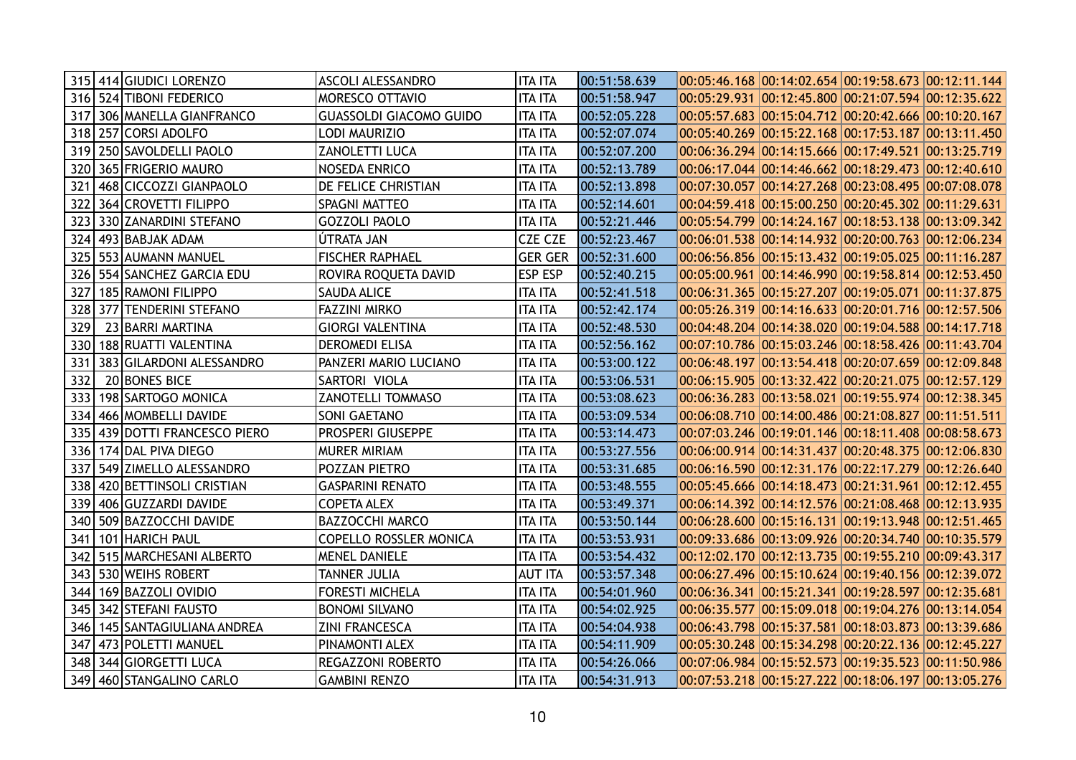|     | 315 414 GIUDICI LORENZO          | <b>ASCOLI ALESSANDRO</b>       | <b>ITA ITA</b> | 00:51:58.639 | $ 00:05:46.168 00:14:02.654 00:19:58.673 00:12:11.144$ |  |
|-----|----------------------------------|--------------------------------|----------------|--------------|--------------------------------------------------------|--|
|     | 316 524 TIBONI FEDERICO          | <b>MORESCO OTTAVIO</b>         | <b>ITA ITA</b> | 00:51:58.947 | 00:05:29.931 00:12:45.800 00:21:07.594 00:12:35.622    |  |
|     | 317   306   MANELLA GIANFRANCO   | <b>GUASSOLDI GIACOMO GUIDO</b> | <b>ITA ITA</b> | 00:52:05.228 | 00:05:57.683 00:15:04.712 00:20:42.666 00:10:20.167    |  |
|     | 318 257 CORSI ADOLFO             | <b>LODI MAURIZIO</b>           | <b>ITA ITA</b> | 00:52:07.074 | $ 00:05:40.269 00:15:22.168 00:17:53.187 00:13:11.450$ |  |
|     | 319 250 SAVOLDELLI PAOLO         | <b>ZANOLETTI LUCA</b>          | <b>ITA ITA</b> | 00:52:07.200 | 00:06:36.294 00:14:15.666 00:17:49.521 00:13:25.719    |  |
| 320 | 365 FRIGERIO MAURO               | <b>NOSEDA ENRICO</b>           | <b>ITA ITA</b> | 00:52:13.789 | $ 00:06:17.044 00:14:46.662 00:18:29.473 00:12:40.610$ |  |
| 321 | 468 CICCOZZI GIANPAOLO           | <b>DE FELICE CHRISTIAN</b>     | <b>ITA ITA</b> | 00:52:13.898 | $ 00:07:30.057 00:14:27.268 00:23:08.495 00:07:08.078$ |  |
| 322 | 364 CROVETTI FILIPPO             | <b>SPAGNI MATTEO</b>           | <b>ITA ITA</b> | 00:52:14.601 | 00:04:59.418 00:15:00.250 00:20:45.302 00:11:29.631    |  |
|     | 323 330 ZANARDINI STEFANO        | <b>GOZZOLI PAOLO</b>           | <b>ITA ITA</b> | 00:52:21.446 | 00:05:54.799 00:14:24.167 00:18:53.138 00:13:09.342    |  |
| 324 | 493 BABJAK ADAM                  | ÚTRATA JAN                     | <b>CZE CZE</b> | 00:52:23.467 | 00:06:01.538 00:14:14.932 00:20:00.763 00:12:06.234    |  |
|     | 325 553 AUMANN MANUEL            | <b>FISCHER RAPHAEL</b>         | <b>GER GER</b> | 00:52:31.600 | 00:06:56.856 00:15:13.432 00:19:05.025 00:11:16.287    |  |
| 326 | 554 SANCHEZ GARCIA EDU           | ROVIRA ROQUETA DAVID           | <b>ESP ESP</b> | 00:52:40.215 | 00:05:00.961 00:14:46.990 00:19:58.814 00:12:53.450    |  |
| 327 | 185 RAMONI FILIPPO               | <b>SAUDA ALICE</b>             | <b>ITA ITA</b> | 00:52:41.518 | 00:06:31.365 00:15:27.207 00:19:05.071 00:11:37.875    |  |
| 328 | 377 TENDERINI STEFANO            | <b>FAZZINI MIRKO</b>           | <b>ITA ITA</b> | 00:52:42.174 | 00:05:26.319 00:14:16.633 00:20:01.716 00:12:57.506    |  |
| 329 | 23 BARRI MARTINA                 | <b>GIORGI VALENTINA</b>        | <b>ITA ITA</b> | 00:52:48.530 | 00:04:48.204 00:14:38.020 00:19:04.588 00:14:17.718    |  |
| 330 | 188 RUATTI VALENTINA             | <b>DEROMEDI ELISA</b>          | <b>ITA ITA</b> | 00:52:56.162 | 00:07:10.786 00:15:03.246 00:18:58.426 00:11:43.704    |  |
| 331 | 383 GILARDONI ALESSANDRO         | PANZERI MARIO LUCIANO          | <b>ITA ITA</b> | 00:53:00.122 | 00:06:48.197 00:13:54.418 00:20:07.659 00:12:09.848    |  |
| 332 | 20 BONES BICE                    | SARTORI VIOLA                  | <b>ITA ITA</b> | 00:53:06.531 | 00:06:15.905 00:13:32.422 00:20:21.075 00:12:57.129    |  |
| 333 | 198 SARTOGO MONICA               | <b>ZANOTELLI TOMMASO</b>       | <b>ITA ITA</b> | 00:53:08.623 | 00:06:36.283 00:13:58.021 00:19:55.974 00:12:38.345    |  |
| 334 | 466 MOMBELLI DAVIDE              | <b>SONI GAETANO</b>            | <b>ITA ITA</b> | 00:53:09.534 | 00:06:08.710 00:14:00.486 00:21:08.827 00:11:51.511    |  |
| 335 | 439 DOTTI FRANCESCO PIERO        | <b>PROSPERI GIUSEPPE</b>       | <b>ITA ITA</b> | 00:53:14.473 | 00:07:03.246 00:19:01.146 00:18:11.408 00:08:58.673    |  |
| 336 | 174 DAL PIVA DIEGO               | <b>MURER MIRIAM</b>            | <b>ITA ITA</b> | 00:53:27.556 | 00:06:00.914 00:14:31.437 00:20:48.375 00:12:06.830    |  |
|     | 337   549   ZIMELLO ALESSANDRO   | POZZAN PIETRO                  | <b>ITA ITA</b> | 00:53:31.685 | 00:06:16.590 00:12:31.176 00:22:17.279 00:12:26.640    |  |
| 338 | 420 BETTINSOLI CRISTIAN          | <b>GASPARINI RENATO</b>        | <b>ITA ITA</b> | 00:53:48.555 | 00:05:45.666 00:14:18.473 00:21:31.961 00:12:12.455    |  |
| 339 | 406 GUZZARDI DAVIDE              | <b>COPETA ALEX</b>             | <b>ITA ITA</b> | 00:53:49.371 | 00:06:14.392 00:14:12.576 00:21:08.468 00:12:13.935    |  |
| 340 | 509 BAZZOCCHI DAVIDE             | <b>BAZZOCCHI MARCO</b>         | <b>ITA ITA</b> | 00:53:50.144 | 00:06:28.600 00:15:16.131 00:19:13.948 00:12:51.465    |  |
| 341 | 101 HARICH PAUL                  | <b>COPELLO ROSSLER MONICA</b>  | <b>ITA ITA</b> | 00:53:53.931 | 00:09:33.686 00:13:09.926 00:20:34.740 00:10:35.579    |  |
|     | 342   515   MARCHESANI ALBERTO   | <b>MENEL DANIELE</b>           | <b>ITA ITA</b> | 00:53:54.432 | 00:12:02.170 00:12:13.735 00:19:55.210 00:09:43.317    |  |
|     | 343 530 WEIHS ROBERT             | <b>TANNER JULIA</b>            | AUT ITA        | 00:53:57.348 | 00:06:27.496 00:15:10.624 00:19:40.156 00:12:39.072    |  |
|     | 344 169 BAZZOLI OVIDIO           | <b>FORESTI MICHELA</b>         | <b>ITA ITA</b> | 00:54:01.960 | 00:06:36.341 00:15:21.341 00:19:28.597 00:12:35.681    |  |
|     | 345 342 STEFANI FAUSTO           | BONOMI SILVANO                 | <b>ITA ITA</b> | 00:54:02.925 | 00:06:35.577 00:15:09.018 00:19:04.276 00:13:14.054    |  |
|     | 346   145   SANTAGIULIANA ANDREA | <b>ZINI FRANCESCA</b>          | <b>ITA ITA</b> | 00:54:04.938 | 00:06:43.798 00:15:37.581 00:18:03.873 00:13:39.686    |  |
|     | 347 473 POLETTI MANUEL           | PINAMONTI ALEX                 | <b>ITA ITA</b> | 00:54:11.909 | 00:05:30.248 00:15:34.298 00:20:22.136 00:12:45.227    |  |
|     | 348 344 GIORGETTI LUCA           | <b>REGAZZONI ROBERTO</b>       | <b>ITA ITA</b> | 00:54:26.066 | 00:07:06.984 00:15:52.573 00:19:35.523 00:11:50.986    |  |
|     | 349 460 STANGALINO CARLO         | <b>GAMBINI RENZO</b>           | <b>ITA ITA</b> | 00:54:31.913 | $ 00:07:53.218 00:15:27.222 00:18:06.197 00:13:05.276$ |  |